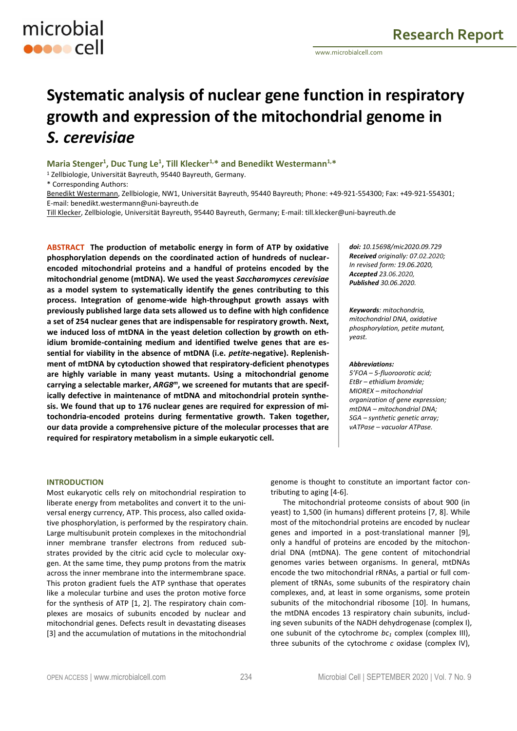

# **Systematic analysis of nuclear gene function in respiratory growth and expression of the mitochondrial genome in**  *S. cerevisiae*

**Maria Stenger<sup>1</sup> , Duc Tung Le<sup>1</sup> , Till Klecker1,\* and Benedikt Westermann1,\***

<sup>1</sup> Zellbiologie, Universität Bayreuth, 95440 Bayreuth, Germany.

\* Corresponding Authors:

Benedikt Westermann, Zellbiologie, NW1, Universität Bayreuth, 95440 Bayreuth; Phone: +49-921-554300; Fax: +49-921-554301; E-mail: benedikt.westermann@uni-bayreuth.de

Till Klecker, Zellbiologie, Universität Bayreuth, 95440 Bayreuth, Germany; E-mail: till.klecker@uni-bayreuth.de

**ABSTRACT The production of metabolic energy in form of ATP by oxidative phosphorylation depends on the coordinated action of hundreds of nuclearencoded mitochondrial proteins and a handful of proteins encoded by the mitochondrial genome (mtDNA). We used the yeast** *Saccharomyces cerevisiae* **as a model system to systematically identify the genes contributing to this process. Integration of genome-wide high-throughput growth assays with previously published large data sets allowed us to define with high confidence a set of 254 nuclear genes that are indispensable for respiratory growth. Next, we induced loss of mtDNA in the yeast deletion collection by growth on ethidium bromide-containing medium and identified twelve genes that are essential for viability in the absence of mtDNA (i.e.** *petite***-negative). Replenishment of mtDNA by cytoduction showed that respiratory-deficient phenotypes are highly variable in many yeast mutants. Using a mitochondrial genome carrying a selectable marker,** *ARG8m***, we screened for mutants that are specifically defective in maintenance of mtDNA and mitochondrial protein synthesis. We found that up to 176 nuclear genes are required for expression of mitochondria-encoded proteins during fermentative growth. Taken together, our data provide a comprehensive picture of the molecular processes that are required for respiratory metabolism in a simple eukaryotic cell.**

*doi: 10.15698/mic2020.09.729 Received originally: 07.02.2020; In revised form: 19.06.2020, Accepted 23.06.2020, Published 30.06.2020.*

*Keywords: mitochondria, mitochondrial DNA, oxidative phosphorylation, petite mutant, yeast.*

#### *Abbreviations:*

*5'FOA – 5-fluoroorotic acid; EtBr – ethidium bromide; MIOREX – mitochondrial organization of gene expression; mtDNA – mitochondrial DNA; SGA – synthetic genetic array; vATPase – vacuolar ATPase.*

# **INTRODUCTION**

Most eukaryotic cells rely on mitochondrial respiration to liberate energy from metabolites and convert it to the universal energy currency, ATP. This process, also called oxidative phosphorylation, is performed by the respiratory chain. Large multisubunit protein complexes in the mitochondrial inner membrane transfer electrons from reduced substrates provided by the citric acid cycle to molecular oxygen. At the same time, they pump protons from the matrix across the inner membrane into the intermembrane space. This proton gradient fuels the ATP synthase that operates like a molecular turbine and uses the proton motive force for the synthesis of ATP [1, 2]. The respiratory chain complexes are mosaics of subunits encoded by nuclear and mitochondrial genes. Defects result in devastating diseases [3] and the accumulation of mutations in the mitochondrial

genome is thought to constitute an important factor contributing to aging [4-6].

The mitochondrial proteome consists of about 900 (in yeast) to 1,500 (in humans) different proteins [7, 8]. While most of the mitochondrial proteins are encoded by nuclear genes and imported in a post-translational manner [9], only a handful of proteins are encoded by the mitochondrial DNA (mtDNA). The gene content of mitochondrial genomes varies between organisms. In general, mtDNAs encode the two mitochondrial rRNAs, a partial or full complement of tRNAs, some subunits of the respiratory chain complexes, and, at least in some organisms, some protein subunits of the mitochondrial ribosome [10]. In humans, the mtDNA encodes 13 respiratory chain subunits, including seven subunits of the NADH dehydrogenase (complex I), one subunit of the cytochrome *bc<sup>1</sup>* complex (complex III), three subunits of the cytochrome *c* oxidase (complex IV),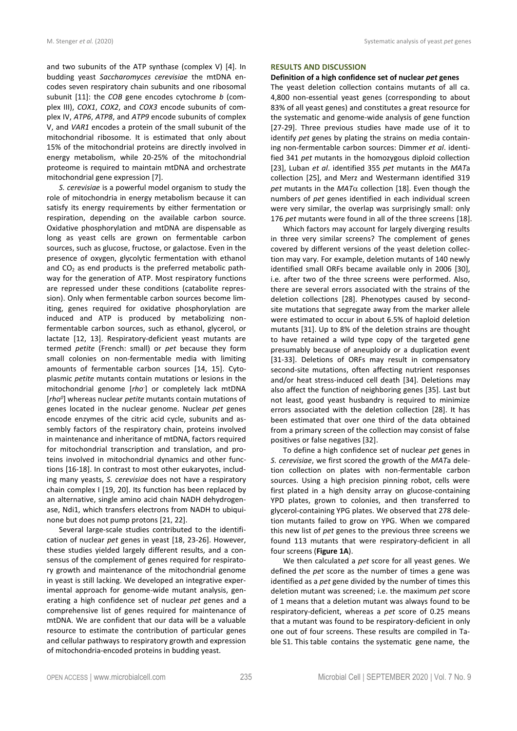and two subunits of the ATP synthase (complex V) [4]. In budding yeast *Saccharomyces cerevisiae* the mtDNA encodes seven respiratory chain subunits and one ribosomal subunit [11]: the *COB* gene encodes cytochrome *b* (complex III), *COX1*, *COX2*, and *COX3* encode subunits of complex IV, *ATP6*, *ATP8*, and *ATP9* encode subunits of complex V, and *VAR1* encodes a protein of the small subunit of the mitochondrial ribosome. It is estimated that only about 15% of the mitochondrial proteins are directly involved in energy metabolism, while 20-25% of the mitochondrial proteome is required to maintain mtDNA and orchestrate mitochondrial gene expression [7].

*S. cerevisiae* is a powerful model organism to study the role of mitochondria in energy metabolism because it can satisfy its energy requirements by either fermentation or respiration, depending on the available carbon source. Oxidative phosphorylation and mtDNA are dispensable as long as yeast cells are grown on fermentable carbon sources, such as glucose, fructose, or galactose. Even in the presence of oxygen, glycolytic fermentation with ethanol and  $CO<sub>2</sub>$  as end products is the preferred metabolic pathway for the generation of ATP. Most respiratory functions are repressed under these conditions (catabolite repression). Only when fermentable carbon sources become limiting, genes required for oxidative phosphorylation are induced and ATP is produced by metabolizing nonfermentable carbon sources, such as ethanol, glycerol, or lactate [12, 13]. Respiratory-deficient yeast mutants are termed *petite* (French: small) or *pet* because they form small colonies on non-fermentable media with limiting amounts of fermentable carbon sources [14, 15]. Cytoplasmic *petite* mutants contain mutations or lesions in the mitochondrial genome [*rho*- ] or completely lack mtDNA [*rho<sup>0</sup>* ] whereas nuclear *petite* mutants contain mutations of genes located in the nuclear genome. Nuclear *pet* genes encode enzymes of the citric acid cycle, subunits and assembly factors of the respiratory chain, proteins involved in maintenance and inheritance of mtDNA, factors required for mitochondrial transcription and translation, and proteins involved in mitochondrial dynamics and other functions [16-18]. In contrast to most other eukaryotes, including many yeasts, *S. cerevisiae* does not have a respiratory chain complex I [19, 20]. Its function has been replaced by an alternative, single amino acid chain NADH dehydrogenase, Ndi1, which transfers electrons from NADH to ubiquinone but does not pump protons [21, 22].

Several large-scale studies contributed to the identification of nuclear *pet* genes in yeast [18, 23-26]. However, these studies yielded largely different results, and a consensus of the complement of genes required for respiratory growth and maintenance of the mitochondrial genome in yeast is still lacking. We developed an integrative experimental approach for genome-wide mutant analysis, generating a high confidence set of nuclear *pet* genes and a comprehensive list of genes required for maintenance of mtDNA. We are confident that our data will be a valuable resource to estimate the contribution of particular genes and cellular pathways to respiratory growth and expression of mitochondria-encoded proteins in budding yeast.

## **RESULTS AND DISCUSSION**

#### **Definition of a high confidence set of nuclear** *pet* **genes**

The yeast deletion collection contains mutants of all ca. 4,800 non-essential yeast genes (corresponding to about 83% of all yeast genes) and constitutes a great resource for the systematic and genome-wide analysis of gene function [27-29]. Three previous studies have made use of it to identify *pet* genes by plating the strains on media containing non-fermentable carbon sources: Dimmer *et al*. identified 341 *pet* mutants in the homozygous diploid collection [23], Luban *et al*. identified 355 *pet* mutants in the *MAT*a collection [25], and Merz and Westermann identified 319 *pet* mutants in the  $MAT\alpha$  collection [18]. Even though the numbers of *pet* genes identified in each individual screen were very similar, the overlap was surprisingly small: only 176 *pet* mutants were found in all of the three screens [18].

Which factors may account for largely diverging results in three very similar screens? The complement of genes covered by different versions of the yeast deletion collection may vary. For example, deletion mutants of 140 newly identified small ORFs became available only in 2006 [30], i.e. after two of the three screens were performed. Also, there are several errors associated with the strains of the deletion collections [28]. Phenotypes caused by secondsite mutations that segregate away from the marker allele were estimated to occur in about 6.5% of haploid deletion mutants [31]. Up to 8% of the deletion strains are thought to have retained a wild type copy of the targeted gene presumably because of aneuploidy or a duplication event [31-33]. Deletions of ORFs may result in compensatory second-site mutations, often affecting nutrient responses and/or heat stress-induced cell death [34]. Deletions may also affect the function of neighboring genes [35]. Last but not least, good yeast husbandry is required to minimize errors associated with the deletion collection [28]. It has been estimated that over one third of the data obtained from a primary screen of the collection may consist of false positives or false negatives [32].

To define a high confidence set of nuclear *pet* genes in *S. cerevisiae*, we first scored the growth of the *MAT*a deletion collection on plates with non-fermentable carbon sources. Using a high precision pinning robot, cells were first plated in a high density array on glucose-containing YPD plates, grown to colonies, and then transferred to glycerol-containing YPG plates. We observed that 278 deletion mutants failed to grow on YPG. When we compared this new list of *pet* genes to the previous three screens we found 113 mutants that were respiratory-deficient in all four screens (**Figure 1A**).

We then calculated a *pet* score for all yeast genes. We defined the *pet* score as the number of times a gene was identified as a *pet* gene divided by the number of times this deletion mutant was screened; i.e. the maximum *pet* score of 1 means that a deletion mutant was always found to be respiratory-deficient, whereas a *pet* score of 0.25 means that a mutant was found to be respiratory-deficient in only one out of four screens. These results are compiled in Table S1. This table contains the systematic gene name, the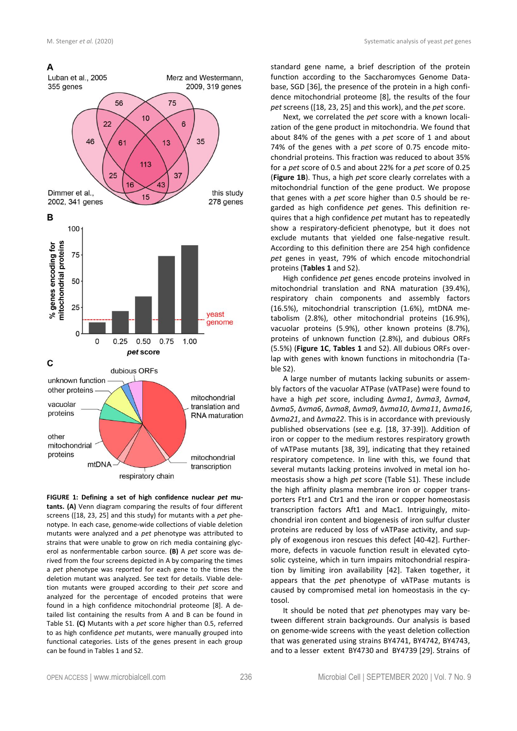# A



**FIGURE 1: Defining a set of high confidence nuclear** *pet* **mutants. (A)** Venn diagram comparing the results of four different screens ([18, 23, 25] and this study) for mutants with a *pet* phenotype. In each case, genome-wide collections of viable deletion mutants were analyzed and a *pet* phenotype was attributed to strains that were unable to grow on rich media containing glycerol as nonfermentable carbon source. **(B)** A *pet* score was derived from the four screens depicted in A by comparing the times a *pet* phenotype was reported for each gene to the times the deletion mutant was analyzed. See text for details. Viable deletion mutants were grouped according to their *pet* score and analyzed for the percentage of encoded proteins that were found in a high confidence mitochondrial proteome [8]. A detailed list containing the results from A and B can be found in Table S1. **(C)** Mutants with a *pet* score higher than 0.5, referred to as high confidence *pet* mutants, were manually grouped into functional categories. Lists of the genes present in each group can be found in Tables 1 and S2.

standard gene name, a brief description of the protein function according to the Saccharomyces Genome Database, SGD [36], the presence of the protein in a high confidence mitochondrial proteome [8], the results of the four *pet* screens ([18, 23, 25] and this work), and the *pet* score.

Next, we correlated the *pet* score with a known localization of the gene product in mitochondria. We found that about 84% of the genes with a *pet* score of 1 and about 74% of the genes with a *pet* score of 0.75 encode mitochondrial proteins. This fraction was reduced to about 35% for a *pet* score of 0.5 and about 22% for a *pet* score of 0.25 (**Figure 1B**). Thus, a high *pet* score clearly correlates with a mitochondrial function of the gene product. We propose that genes with a *pet* score higher than 0.5 should be regarded as high confidence *pet* genes. This definition requires that a high confidence *pet* mutant has to repeatedly show a respiratory-deficient phenotype, but it does not exclude mutants that yielded one false-negative result. According to this definition there are 254 high confidence *pet* genes in yeast, 79% of which encode mitochondrial proteins (**Tables 1** and S2).

High confidence *pet* genes encode proteins involved in mitochondrial translation and RNA maturation (39.4%), respiratory chain components and assembly factors (16.5%), mitochondrial transcription (1.6%), mtDNA metabolism (2.8%), other mitochondrial proteins (16.9%), vacuolar proteins (5.9%), other known proteins (8.7%), proteins of unknown function (2.8%), and dubious ORFs (5.5%) (**Figure 1C**, **Tables 1** and S2). All dubious ORFs overlap with genes with known functions in mitochondria (Table S2).

A large number of mutants lacking subunits or assembly factors of the vacuolar ATPase (vATPase) were found to have a high *pet* score, including Δ*vma1*, Δ*vma3*, Δ*vma4*, Δ*vma5*, Δ*vma6*, Δ*vma8*, Δ*vma9*, Δ*vma10*, Δ*vma11*, Δ*vma16*, Δ*vma21*, and Δ*vma22*. This is in accordance with previously published observations (see e.g. [18, 37-39]). Addition of iron or copper to the medium restores respiratory growth of vATPase mutants [38, 39], indicating that they retained respiratory competence. In line with this, we found that several mutants lacking proteins involved in metal ion homeostasis show a high *pet* score (Table S1). These include the high affinity plasma membrane iron or copper transporters Ftr1 and Ctr1 and the iron or copper homeostasis transcription factors Aft1 and Mac1. Intriguingly, mitochondrial iron content and biogenesis of iron sulfur cluster proteins are reduced by loss of vATPase activity, and supply of exogenous iron rescues this defect [40-42]. Furthermore, defects in vacuole function result in elevated cytosolic cysteine, which in turn impairs mitochondrial respiration by limiting iron availability [42]. Taken together, it appears that the *pet* phenotype of vATPase mutants is caused by compromised metal ion homeostasis in the cytosol.

It should be noted that *pet* phenotypes may vary between different strain backgrounds. Our analysis is based on genome-wide screens with the yeast deletion collection that was generated using strains BY4741, BY4742, BY4743, and to a lesser extent BY4730 and BY4739 [29]. Strains of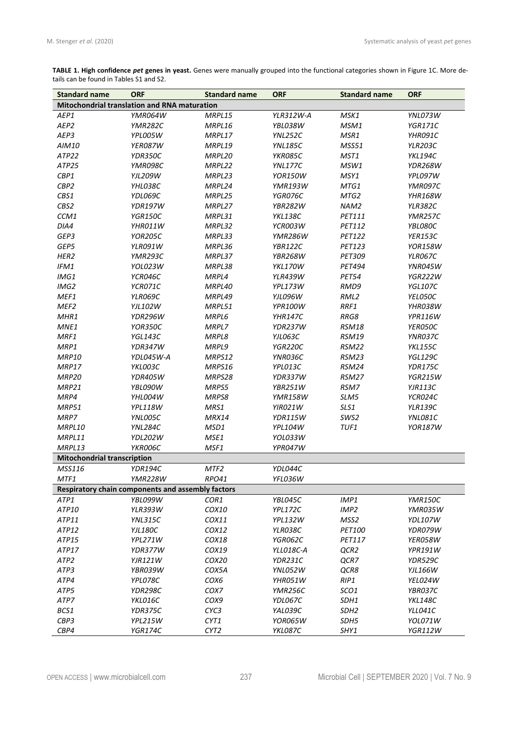**TABLE 1. High confidence** *pet* **genes in yeast.** Genes were manually grouped into the functional categories shown in Figure 1C. More details can be found in Tables S1 and S2.

| <b>Standard name</b>                              | <b>ORF</b>     | <b>Standard name</b> | <b>ORF</b>       | <b>Standard name</b> | <b>ORF</b>     |  |
|---------------------------------------------------|----------------|----------------------|------------------|----------------------|----------------|--|
| Mitochondrial translation and RNA maturation      |                |                      |                  |                      |                |  |
| AEP1                                              | YMR064W        | MRPL15               | <b>YLR312W-A</b> | MSK1                 | YNL073W        |  |
| AEP2                                              | <b>YMR282C</b> | MRPL16               | YBL038W          | MSM1                 | <b>YGR171C</b> |  |
| AEP3                                              | YPL005W        | MRPL17               | YNL252C          | MSR1                 | YHR091C        |  |
| AIM10                                             | YER087W        | MRPL19               | <b>YNL185C</b>   | MSS51                | <b>YLR203C</b> |  |
| ATP22                                             | YDR350C        | MRPL20               | YKR085C          | MST1                 | <b>YKL194C</b> |  |
| ATP25                                             | YMR098C        | MRPL22               | <b>YNL177C</b>   | MSW1                 | <b>YDR268W</b> |  |
| CBP1                                              | <b>YJL209W</b> | MRPL23               | <b>YOR150W</b>   | MSY1                 | YPL097W        |  |
| CBP2                                              | YHL038C        | MRPL24               | <b>YMR193W</b>   | MTG1                 | YMR097C        |  |
| CBS1                                              | YDL069C        | MRPL25               | YGR076C          | MTG2                 | YHR168W        |  |
| CBS2                                              | <b>YDR197W</b> | MRPL27               | <b>YBR282W</b>   | NAM2                 | <b>YLR382C</b> |  |
| CCM1                                              | <b>YGR150C</b> | MRPL31               | <b>YKL138C</b>   | PET111               | <b>YMR257C</b> |  |
| DIA4                                              | YHR011W        | MRPL32               | YCR003W          | <b>PET112</b>        | YBL080C        |  |
| GEP3                                              | <b>YOR205C</b> | MRPL33               | <b>YMR286W</b>   | PET122               | <b>YER153C</b> |  |
| GEP5                                              | <b>YLR091W</b> | MRPL36               | <b>YBR122C</b>   | PET123               | <b>YOR158W</b> |  |
| HER <sub>2</sub>                                  | <b>YMR293C</b> | MRPL37               | <b>YBR268W</b>   | PET309               | <b>YLR067C</b> |  |
| IFM1                                              | YOL023W        | MRPL38               | <b>YKL170W</b>   | <b>PET494</b>        | YNR045W        |  |
| IMG1                                              | YCR046C        | MRPL4                | <b>YLR439W</b>   | <b>PET54</b>         | <b>YGR222W</b> |  |
| IMG2                                              | YCR071C        | MRPL40               | YPL173W          | RMD9                 | <b>YGL107C</b> |  |
| MEF1                                              | YLR069C        | MRPL49               | YJL096W          | RML2                 | YEL050C        |  |
| MEF <sub>2</sub>                                  | <b>YJL102W</b> | MRPL51               | YPR100W          | RRF1                 | YHR038W        |  |
| MHR1                                              | YDR296W        | MRPL6                | <b>YHR147C</b>   | RRG8                 | YPR116W        |  |
| MNE1                                              | YOR350C        | MRPL7                | YDR237W          | <b>RSM18</b>         | YER050C        |  |
| MRF1                                              | <b>YGL143C</b> | MRPL8                | YJL063C          | <b>RSM19</b>         | YNR037C        |  |
| MRP1                                              | YDR347W        | MRPL9                | <b>YGR220C</b>   | <b>RSM22</b>         | <b>YKL155C</b> |  |
| MRP10                                             | YDL045W-A      | MRPS12               | YNR036C          | <b>RSM23</b>         | <b>YGL129C</b> |  |
| MRP17                                             | YKL003C        | MRPS16               | YPL013C          | <b>RSM24</b>         | YDR175C        |  |
| MRP <sub>20</sub>                                 | <b>YDR405W</b> | MRPS28               | YDR337W          | <b>RSM27</b>         | <b>YGR215W</b> |  |
| <b>MRP21</b>                                      | YBL090W        | MRPS5                | YBR251W          | RSM7                 | <b>YJR113C</b> |  |
| MRP4                                              | YHL004W        | MRPS8                | <b>YMR158W</b>   | SLM5                 | YCR024C        |  |
| <b>MRP51</b>                                      | <b>YPL118W</b> | MRS1                 | <b>YIR021W</b>   | SLS1                 | <b>YLR139C</b> |  |
| MRP7                                              | YNL005C        | <b>MRX14</b>         | YDR115W          | SWS2                 | YNL081C        |  |
| MRPL10                                            | <b>YNL284C</b> | MSD1                 | <b>YPL104W</b>   | TUF1                 | <b>YOR187W</b> |  |
| MRPL11                                            | YDL202W        | MSE1                 | YOL033W          |                      |                |  |
| MRPL13                                            | YKR006C        | MSF1                 | YPR047W          |                      |                |  |
| <b>Mitochondrial transcription</b>                |                |                      |                  |                      |                |  |
| MSS116                                            | YDR194C        | MTF <sub>2</sub>     | YDL044C          |                      |                |  |
| MTF1                                              | YMR228W        | <i>RPO41</i>         | YFL036W          |                      |                |  |
| Respiratory chain components and assembly factors |                |                      |                  |                      |                |  |
| ATP1                                              | YBL099W        | COR1                 | YBL045C          | IMP1                 | <b>YMR150C</b> |  |
| ATP10                                             | <b>YLR393W</b> | COX10                | YPL172C          | IMP <sub>2</sub>     | YMR035W        |  |
| ATP11                                             | <b>YNL315C</b> | COX11                | <b>YPL132W</b>   | MSS2                 | YDL107W        |  |
| ATP12                                             | <b>YJL180C</b> | COX12                | YLR038C          | PET100               | YDR079W        |  |
| ATP15                                             | YPL271W        | COX18                | YGR062C          | PET117               | YER058W        |  |
| ATP17                                             | YDR377W        | COX19                | YLL018C-A        | QCR2                 | YPR191W        |  |
| ATP <sub>2</sub>                                  | <b>YJR121W</b> | COX20                | YDR231C          | QCR7                 | YDR529C        |  |
| ATP3                                              | YBR039W        | COX5A                | YNL052W          | QCR8                 | YJL166W        |  |
| ATP4                                              | YPL078C        | COX6                 | YHR051W          | RIP1                 | YEL024W        |  |
| ATP5                                              | YDR298C        | COX7                 | YMR256C          | SCO1                 | YBR037C        |  |
| ATP7                                              | YKL016C        | COX9                 | YDL067C          | SDH1                 | <b>YKL148C</b> |  |
| BCS1                                              | YDR375C        | CYC3                 | YAL039C          | SDH <sub>2</sub>     | YLL041C        |  |
| CBP3                                              | YPL215W        | CYT1                 | YOR065W          | SDH5                 | YOL071W        |  |
| CBP4                                              | YGR174C        | CYT2                 | YKL087C          | SHY1                 | <b>YGR112W</b> |  |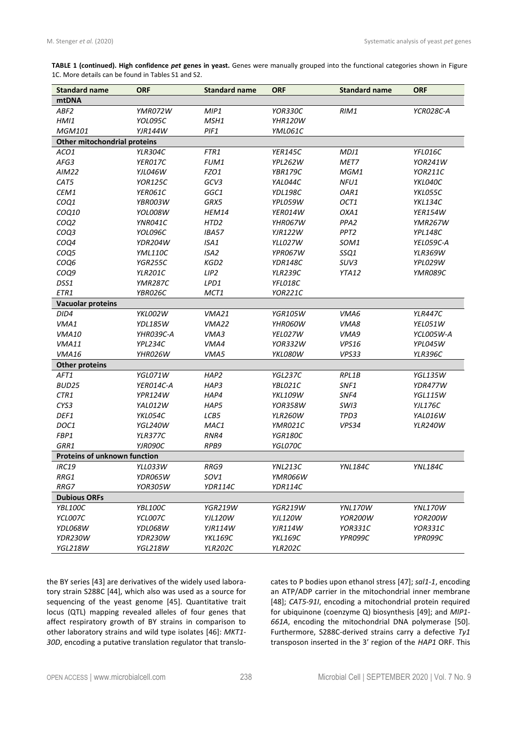**TABLE 1 (continued). High confidence** *pet* **genes in yeast.** Genes were manually grouped into the functional categories shown in Figure 1C. More details can be found in Tables S1 and S2.

| <b>Standard name</b>         | <b>ORF</b>     | <b>Standard name</b> | <b>ORF</b>     | <b>Standard name</b> | <b>ORF</b>       |
|------------------------------|----------------|----------------------|----------------|----------------------|------------------|
| mtDNA                        |                |                      |                |                      |                  |
| ABF2                         | YMR072W        | MIP1                 | YOR330C        | RIM1                 | <b>YCR028C-A</b> |
| HM11                         | YOL095C        | MSH1                 | <b>YHR120W</b> |                      |                  |
| <b>MGM101</b>                | <b>YJR144W</b> | PIF1                 | YML061C        |                      |                  |
| Other mitochondrial proteins |                |                      |                |                      |                  |
| ACO1                         | <b>YLR304C</b> | FTR1                 | <b>YER145C</b> | MDJ1                 | YFL016C          |
| AFG3                         | YER017C        | FUM1                 | <b>YPL262W</b> | MET7                 | <b>YOR241W</b>   |
| AIM22                        | YJL046W        | FZO1                 | <b>YBR179C</b> | MGM1                 | <b>YOR211C</b>   |
| CAT5                         | <b>YOR125C</b> | GCV3                 | YAL044C        | NFU1                 | YKL040C          |
| CEM1                         | YER061C        | GGC1                 | <b>YDL198C</b> | OAR1                 | YKL055C          |
| COQ1                         | YBR003W        | GRX5                 | YPL059W        | OCT1                 | YKL134C          |
| COQ10                        | YOL008W        | <b>HEM14</b>         | YER014W        | OXA1                 | <b>YER154W</b>   |
| COQ2                         | YNR041C        | HTD <sub>2</sub>     | YHR067W        | PPA <sub>2</sub>     | <b>YMR267W</b>   |
| COQ3                         | YOL096C        | IBA57                | <b>YJR122W</b> | PPT <sub>2</sub>     | <b>YPL148C</b>   |
| COQ4                         | <b>YDR204W</b> | ISA1                 | YLL027W        | SOM1                 | YEL059C-A        |
| COQ5                         | YML110C        | ISA2                 | YPR067W        | SSQ1                 | <b>YLR369W</b>   |
| COQ6                         | <b>YGR255C</b> | KGD2                 | YDR148C        | SUV <sub>3</sub>     | YPL029W          |
| COQ9                         | <b>YLR201C</b> | LIP <sub>2</sub>     | <b>YLR239C</b> | YTA12                | YMR089C          |
| DSS1                         | <b>YMR287C</b> | LPD1                 | YFL018C        |                      |                  |
| ETR1                         | YBR026C        | MCT1                 | <b>YOR221C</b> |                      |                  |
| <b>Vacuolar proteins</b>     |                |                      |                |                      |                  |
| DID4                         | <b>YKL002W</b> | VMA21                | <b>YGR105W</b> | VMA6                 | <b>YLR447C</b>   |
| VMA1                         | <b>YDL185W</b> | VMA22                | YHR060W        | VMA8                 | YEL051W          |
| <b>VMA10</b>                 | YHR039C-A      | VMA3                 | YEL027W        | VMA9                 | YCL005W-A        |
| VMA11                        | YPL234C        | VMA4                 | <b>YOR332W</b> | VPS16                | YPL045W          |
| VMA16                        | YHR026W        | VMA5                 | YKL080W        | VPS33                | <b>YLR396C</b>   |
| <b>Other proteins</b>        |                |                      |                |                      |                  |
| AFT1                         | YGL071W        | HAP2                 | <b>YGL237C</b> | RPL1B                | <b>YGL135W</b>   |
| BUD25                        | YER014C-A      | HAP3                 | YBL021C        | SNF1                 | YDR477W          |
| CTR1                         | <b>YPR124W</b> | HAP4                 | <b>YKL109W</b> | SNF4                 | <b>YGL115W</b>   |
| CYS3                         | YAL012W        | HAP5                 | <b>YOR358W</b> | SWI3                 | <b>YJL176C</b>   |
| DEF1                         | YKL054C        | LCB5                 | <b>YLR260W</b> | TPD3                 | YAL016W          |
| DOC1                         | YGL240W        | MAC1                 | YMR021C        | VPS34                | <b>YLR240W</b>   |
| FBP1                         | YLR377C        | RNR4                 | YGR180C        |                      |                  |
| GRR1                         | YJR090C        | RPB9                 | YGL070C        |                      |                  |
| Proteins of unknown function |                |                      |                |                      |                  |
| <b>IRC19</b>                 | YLL033W        | RRG9                 | <b>YNL213C</b> | <b>YNL184C</b>       | <b>YNL184C</b>   |
| RRG1                         | YDR065W        | SOV1                 | YMR066W        |                      |                  |
| RRG7                         | <b>YOR305W</b> | YDR114C              | YDR114C        |                      |                  |
| <b>Dubious ORFs</b>          |                |                      |                |                      |                  |
| <b>YBL100C</b>               | YBL100C        | <b>YGR219W</b>       | <b>YGR219W</b> | <b>YNL170W</b>       | <b>YNL170W</b>   |
| YCL007C                      | YCL007C        | YJL120W              | YJL120W        | <b>YOR200W</b>       | YOR200W          |
| YDL068W                      | YDL068W        | YJR114W              | YJR114W        | YOR331C              | YOR331C          |
| YDR230W                      | YDR230W        | <b>YKL169C</b>       | <b>YKL169C</b> | YPR099C              | YPR099C          |
| <b>YGL218W</b>               | <b>YGL218W</b> | <b>YLR202C</b>       | <b>YLR202C</b> |                      |                  |

the BY series [43] are derivatives of the widely used laboratory strain S288C [44], which also was used as a source for sequencing of the yeast genome [45]. Quantitative trait locus (QTL) mapping revealed alleles of four genes that affect respiratory growth of BY strains in comparison to other laboratory strains and wild type isolates [46]: *MKT1- 30D*, encoding a putative translation regulator that translocates to P bodies upon ethanol stress [47]; *sal1-1*, encoding an ATP/ADP carrier in the mitochondrial inner membrane [48]; *CAT5-91I*, encoding a mitochondrial protein required for ubiquinone (coenzyme Q) biosynthesis [49]; and *MIP1- 661A*, encoding the mitochondrial DNA polymerase [50]. Furthermore, S288C-derived strains carry a defective *Ty1* transposon inserted in the 3' region of the *HAP1* ORF. This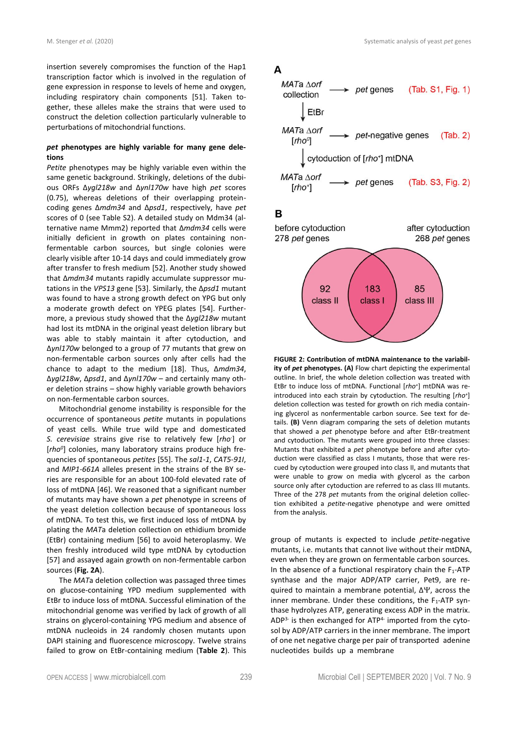insertion severely compromises the function of the Hap1 transcription factor which is involved in the regulation of gene expression in response to levels of heme and oxygen, including respiratory chain components [51]. Taken together, these alleles make the strains that were used to construct the deletion collection particularly vulnerable to perturbations of mitochondrial functions.

# *pet* **phenotypes are highly variable for many gene deletions**

*Petite* phenotypes may be highly variable even within the same genetic background. Strikingly, deletions of the dubious ORFs ∆*ygl218w* and ∆*ynl170w* have high *pet* scores (0.75), whereas deletions of their overlapping proteincoding genes ∆*mdm34* and ∆*psd1*, respectively, have *pet* scores of 0 (see Table S2). A detailed study on Mdm34 (alternative name Mmm2) reported that ∆*mdm34* cells were initially deficient in growth on plates containing nonfermentable carbon sources, but single colonies were clearly visible after 10-14 days and could immediately grow after transfer to fresh medium [52]. Another study showed that ∆*mdm34* mutants rapidly accumulate suppressor mutations in the *VPS13* gene [53]. Similarly, the ∆*psd1* mutant was found to have a strong growth defect on YPG but only a moderate growth defect on YPEG plates [54]. Furthermore, a previous study showed that the ∆*ygl218w* mutant had lost its mtDNA in the original yeast deletion library but was able to stably maintain it after cytoduction, and ∆*ynl170w* belonged to a group of 77 mutants that grew on non-fermentable carbon sources only after cells had the chance to adapt to the medium [18]. Thus, ∆*mdm34*, ∆*ygl218w*, ∆*psd1*, and ∆*ynl170w* – and certainly many other deletion strains – show highly variable growth behaviors on non-fermentable carbon sources.

Mitochondrial genome instability is responsible for the occurrence of spontaneous *petite* mutants in populations of yeast cells. While true wild type and domesticated *S. cerevisiae* strains give rise to relatively few [*rho*- ] or [*rho<sup>0</sup>* ] colonies, many laboratory strains produce high frequencies of spontaneous *petites* [55]. The *sal1-1*, *CAT5-91I*, and *MIP1-661A* alleles present in the strains of the BY series are responsible for an about 100-fold elevated rate of loss of mtDNA [46]. We reasoned that a significant number of mutants may have shown a *pet* phenotype in screens of the yeast deletion collection because of spontaneous loss of mtDNA. To test this, we first induced loss of mtDNA by plating the *MAT*a deletion collection on ethidium bromide (EtBr) containing medium [56] to avoid heteroplasmy. We then freshly introduced wild type mtDNA by cytoduction [57] and assayed again growth on non-fermentable carbon sources (**Fig. 2A**).

The *MAT*a deletion collection was passaged three times on glucose-containing YPD medium supplemented with EtBr to induce loss of mtDNA. Successful elimination of the mitochondrial genome was verified by lack of growth of all strains on glycerol-containing YPG medium and absence of mtDNA nucleoids in 24 randomly chosen mutants upon DAPI staining and fluorescence microscopy. Twelve strains failed to grow on EtBr-containing medium (**Table 2**). This



В



**FIGURE 2: Contribution of mtDNA maintenance to the variability of** *pet* **phenotypes. (A)** Flow chart depicting the experimental outline. In brief, the whole deletion collection was treated with EtBr to induce loss of mtDNA. Functional [*rho<sup>+</sup>* ] mtDNA was reintroduced into each strain by cytoduction. The resulting [*rho<sup>+</sup>* ] deletion collection was tested for growth on rich media containing glycerol as nonfermentable carbon source. See text for details. **(B)** Venn diagram comparing the sets of deletion mutants that showed a *pet* phenotype before and after EtBr-treatment and cytoduction. The mutants were grouped into three classes: Mutants that exhibited a *pet* phenotype before and after cytoduction were classified as class I mutants, those that were rescued by cytoduction were grouped into class II, and mutants that were unable to grow on media with glycerol as the carbon source only after cytoduction are referred to as class III mutants. Three of the 278 *pet* mutants from the original deletion collection exhibited a *petite*-negative phenotype and were omitted from the analysis.

group of mutants is expected to include *petite*-negative mutants, i.e. mutants that cannot live without their mtDNA, even when they are grown on fermentable carbon sources. In the absence of a functional respiratory chain the  $F_1$ -ATP synthase and the major ADP/ATP carrier, Pet9, are required to maintain a membrane potential,  $ΔΨ$ , across the inner membrane. Under these conditions, the  $F_1$ -ATP synthase hydrolyzes ATP, generating excess ADP in the matrix.  $ADP<sup>3-</sup>$  is then exchanged for  $ATP<sup>4-</sup>$  imported from the cytosol by ADP/ATP carriers in the inner membrane. The import of one net negative charge per pair of transported adenine nucleotides builds up a membrane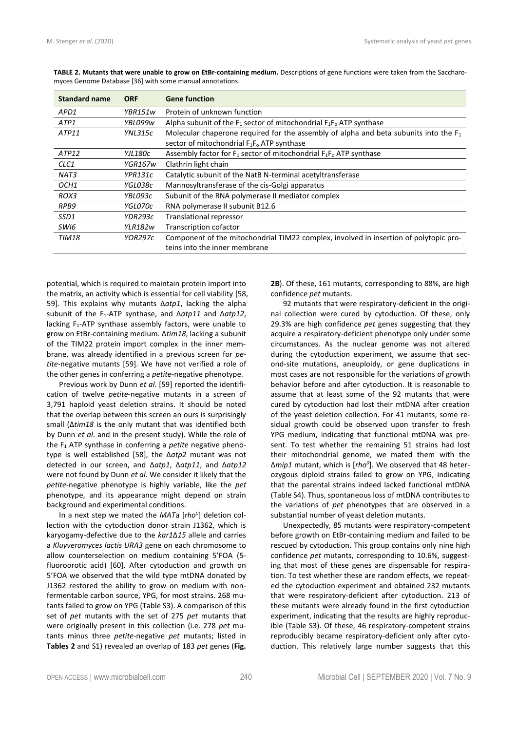| <b>Standard name</b> | <b>ORF</b> | <b>Gene function</b>                                                                    |
|----------------------|------------|-----------------------------------------------------------------------------------------|
| APD1                 | YBR151w    | Protein of unknown function                                                             |
| ATP1                 | YBL099w    | Alpha subunit of the $F_1$ sector of mitochondrial $F_1F_0$ ATP synthase                |
| ATP11                | YNL315c    | Molecular chaperone required for the assembly of alpha and beta subunits into the $F_1$ |
|                      |            | sector of mitochondrial $F_1F_0$ ATP synthase                                           |
| ATP12                | YJL180c    | Assembly factor for $F_1$ sector of mitochondrial $F_1F_0$ ATP synthase                 |
| CLC1                 | YGR167w    | Clathrin light chain                                                                    |
| NAT3                 | YPR131c    | Catalytic subunit of the NatB N-terminal acetyltransferase                              |
| OCH1                 | YGL038c    | Mannosyltransferase of the cis-Golgi apparatus                                          |
| ROX3                 | YBL093c    | Subunit of the RNA polymerase II mediator complex                                       |
| RPB9                 | YGL070c    | RNA polymerase II subunit B12.6                                                         |
| SSD1                 | YDR293c    | <b>Translational repressor</b>                                                          |
| SWI6                 | YLR182w    | <b>Transcription cofactor</b>                                                           |
| TIM18                | YOR297c    | Component of the mitochondrial TIM22 complex, involved in insertion of polytopic pro-   |
|                      |            | teins into the inner membrane                                                           |

**TABLE 2. Mutants that were unable to grow on EtBr-containing medium.** Descriptions of gene functions were taken from the Saccharomyces Genome Database [36] with some manual annotations.

potential, which is required to maintain protein import into the matrix, an activity which is essential for cell viability [58, 59]. This explains why mutants Δ*atp1*, lacking the alpha subunit of the F1-ATP synthase, and Δ*atp11* and Δ*atp12*, lacking  $F_1$ -ATP synthase assembly factors, were unable to grow on EtBr-containing medium. Δ*tim18*, lacking a subunit of the TIM22 protein import complex in the inner membrane, was already identified in a previous screen for *petite*-negative mutants [59]. We have not verified a role of the other genes in conferring a *petite*-negative phenotype.

Previous work by Dunn *et al*. [59] reported the identification of twelve *petite*-negative mutants in a screen of 3,791 haploid yeast deletion strains. It should be noted that the overlap between this screen an ours is surprisingly small (∆*tim18* is the only mutant that was identified both by Dunn *et al*. and in the present study). While the role of the F<sup>1</sup> ATP synthase in conferring a *petite* negative phenotype is well established [58], the ∆*atp2* mutant was not detected in our screen, and ∆*atp1*, Δ*atp11*, and Δ*atp12* were not found by Dunn *et al*. We consider it likely that the *petite*-negative phenotype is highly variable, like the *pet* phenotype, and its appearance might depend on strain background and experimental conditions.

In a next step we mated the *MAT*a [*rho<sup>0</sup>* ] deletion collection with the cytoduction donor strain J1362, which is karyogamy-defective due to the *kar1*Δ*15* allele and carries a *Kluyveromyces lactis URA3* gene on each chromosome to allow counterselection on medium containing 5'FOA (5 fluoroorotic acid) [60]. After cytoduction and growth on 5'FOA we observed that the wild type mtDNA donated by J1362 restored the ability to grow on medium with nonfermentable carbon source, YPG, for most strains. 268 mutants failed to grow on YPG (Table S3). A comparison of this set of *pet* mutants with the set of 275 *pet* mutants that were originally present in this collection (i.e. 278 *pet* mutants minus three *petite*-negative *pet* mutants; listed in **Tables 2** and S1) revealed an overlap of 183 *pet* genes (**Fig.**

**2B**). Of these, 161 mutants, corresponding to 88%, are high confidence *pet* mutants.

92 mutants that were respiratory-deficient in the original collection were cured by cytoduction. Of these, only 29.3% are high confidence *pet* genes suggesting that they acquire a respiratory-deficient phenotype only under some circumstances. As the nuclear genome was not altered during the cytoduction experiment, we assume that second-site mutations, aneuploidy, or gene duplications in most cases are not responsible for the variations of growth behavior before and after cytoduction. It is reasonable to assume that at least some of the 92 mutants that were cured by cytoduction had lost their mtDNA after creation of the yeast deletion collection. For 41 mutants, some residual growth could be observed upon transfer to fresh YPG medium, indicating that functional mtDNA was present. To test whether the remaining 51 strains had lost their mitochondrial genome, we mated them with the Δ*mip1* mutant, which is [*rho<sup>0</sup>* ]. We observed that 48 heterozygous diploid strains failed to grow on YPG, indicating that the parental strains indeed lacked functional mtDNA (Table S4). Thus, spontaneous loss of mtDNA contributes to the variations of *pet* phenotypes that are observed in a substantial number of yeast deletion mutants.

Unexpectedly, 85 mutants were respiratory-competent before growth on EtBr-containing medium and failed to be rescued by cytoduction. This group contains only nine high confidence *pet* mutants, corresponding to 10.6%, suggesting that most of these genes are dispensable for respiration. To test whether these are random effects, we repeated the cytoduction experiment and obtained 232 mutants that were respiratory-deficient after cytoduction. 213 of these mutants were already found in the first cytoduction experiment, indicating that the results are highly reproducible (Table S3). Of these, 46 respiratory-competent strains reproducibly became respiratory-deficient only after cytoduction. This relatively large number suggests that this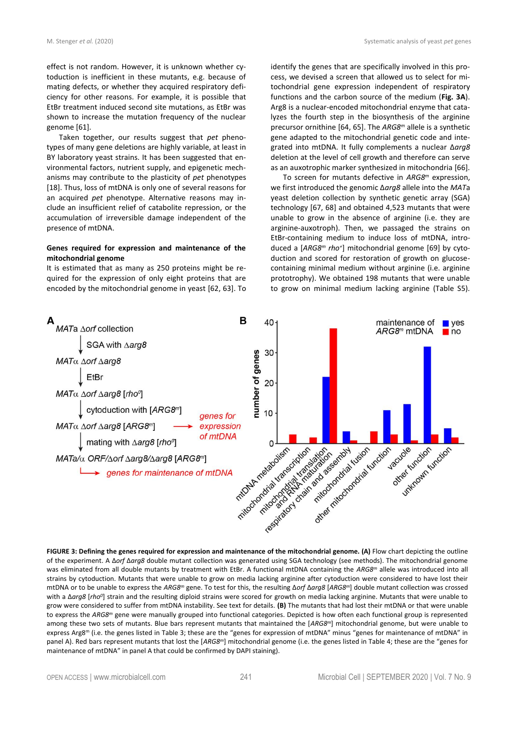effect is not random. However, it is unknown whether cytoduction is inefficient in these mutants, e.g. because of mating defects, or whether they acquired respiratory deficiency for other reasons. For example, it is possible that EtBr treatment induced second site mutations, as EtBr was shown to increase the mutation frequency of the nuclear

genome [61]. Taken together, our results suggest that *pet* phenotypes of many gene deletions are highly variable, at least in BY laboratory yeast strains. It has been suggested that environmental factors, nutrient supply, and epigenetic mechanisms may contribute to the plasticity of *pet* phenotypes [18]. Thus, loss of mtDNA is only one of several reasons for an acquired *pet* phenotype. Alternative reasons may include an insufficient relief of catabolite repression, or the accumulation of irreversible damage independent of the presence of mtDNA.

# **Genes required for expression and maintenance of the mitochondrial genome**

It is estimated that as many as 250 proteins might be required for the expression of only eight proteins that are encoded by the mitochondrial genome in yeast [62, 63]. To identify the genes that are specifically involved in this process, we devised a screen that allowed us to select for mitochondrial gene expression independent of respiratory functions and the carbon source of the medium (**Fig. 3A**). Arg8 is a nuclear-encoded mitochondrial enzyme that catalyzes the fourth step in the biosynthesis of the arginine precursor ornithine [64, 65]. The *ARG8<sup>m</sup>* allele is a synthetic gene adapted to the mitochondrial genetic code and integrated into mtDNA. It fully complements a nuclear Δ*arg8* deletion at the level of cell growth and therefore can serve as an auxotrophic marker synthesized in mitochondria [66].

To screen for mutants defective in *ARG8<sup>m</sup>* expression, we first introduced the genomic Δ*arg8* allele into the *MAT*a yeast deletion collection by synthetic genetic array (SGA) technology [67, 68] and obtained 4,523 mutants that were unable to grow in the absence of arginine (i.e. they are arginine-auxotroph). Then, we passaged the strains on EtBr-containing medium to induce loss of mtDNA, introduced a [*ARG8<sup>m</sup> rho<sup>+</sup>* ] mitochondrial genome [69] by cytoduction and scored for restoration of growth on glucosecontaining minimal medium without arginine (i.e. arginine prototrophy). We obtained 198 mutants that were unable to grow on minimal medium lacking arginine (Table S5).



**FIGURE 3: Defining the genes required for expression and maintenance of the mitochondrial genome. (A)** Flow chart depicting the outline of the experiment. A Δ*orf* Δ*arg8* double mutant collection was generated using SGA technology (see methods). The mitochondrial genome was eliminated from all double mutants by treatment with EtBr. A functional mtDNA containing the *ARG8<sup>m</sup>* allele was introduced into all strains by cytoduction. Mutants that were unable to grow on media lacking arginine after cytoduction were considered to have lost their mtDNA or to be unable to express the *ARG8<sup>m</sup>* gene. To test for this, the resulting Δ*orf* Δ*arg8* [*ARG8<sup>m</sup>*] double mutant collection was crossed with a Δarg8 [rho<sup>o</sup>] strain and the resulting diploid strains were scored for growth on media lacking arginine. Mutants that were unable to grow were considered to suffer from mtDNA instability. See text for details. **(B)** The mutants that had lost their mtDNA or that were unable to express the *ARG8<sup>m</sup>* gene were manually grouped into functional categories. Depicted is how often each functional group is represented among these two sets of mutants. Blue bars represent mutants that maintained the [*ARG8<sup>m</sup>*] mitochondrial genome, but were unable to express Arg8<sup>m</sup> (i.e. the genes listed in Table 3; these are the "genes for expression of mtDNA" minus "genes for maintenance of mtDNA" in panel A). Red bars represent mutants that lost the [*ARG8<sup>m</sup>*] mitochondrial genome (i.e. the genes listed in Table 4; these are the "genes for maintenance of mtDNA" in panel A that could be confirmed by DAPI staining).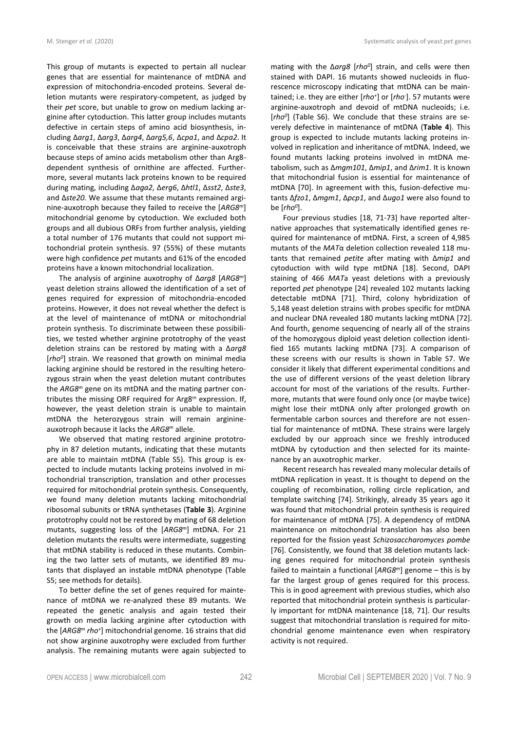This group of mutants is expected to pertain all nuclear genes that are essential for maintenance of mtDNA and expression of mitochondria-encoded proteins. Several deletion mutants were respiratory-competent, as judged by their *pet* score, but unable to grow on medium lacking arginine after cytoduction. This latter group includes mutants defective in certain steps of amino acid biosynthesis, including Δ*arg1*, Δ*arg3*, Δ*arg4*, Δ*arg5,6*, Δ*cpa1*, and Δ*cpa2*. It is conceivable that these strains are arginine-auxotroph because steps of amino acids metabolism other than Arg8 dependent synthesis of ornithine are affected. Furthermore, several mutants lack proteins known to be required during mating, including Δ*aga2*, Δ*erg6*, Δ*htl1*, Δ*sst2*, Δ*ste3*, and Δ*ste20.* We assume that these mutants remained arginine-auxotroph because they failed to receive the [*ARG8<sup>m</sup>*] mitochondrial genome by cytoduction. We excluded both groups and all dubious ORFs from further analysis, yielding a total number of 176 mutants that could not support mitochondrial protein synthesis. 97 (55%) of these mutants were high confidence *pet* mutants and 61% of the encoded proteins have a known mitochondrial localization.

The analysis of arginine auxotrophy of Δ*arg8* [*ARG8<sup>m</sup>*] yeast deletion strains allowed the identification of a set of genes required for expression of mitochondria-encoded proteins. However, it does not reveal whether the defect is at the level of maintenance of mtDNA or mitochondrial protein synthesis. To discriminate between these possibilities, we tested whether arginine prototrophy of the yeast deletion strains can be restored by mating with a Δ*arg8*  [*rho<sup>0</sup>* ] strain. We reasoned that growth on minimal media lacking arginine should be restored in the resulting heterozygous strain when the yeast deletion mutant contributes the *ARG8<sup>m</sup>* gene on its mtDNA and the mating partner contributes the missing ORF required for Arg8<sup>m</sup> expression. If, however, the yeast deletion strain is unable to maintain mtDNA the heterozygous strain will remain arginineauxotroph because it lacks the *ARG8<sup>m</sup>* allele.

We observed that mating restored arginine prototrophy in 87 deletion mutants, indicating that these mutants are able to maintain mtDNA (Table S5). This group is expected to include mutants lacking proteins involved in mitochondrial transcription, translation and other processes required for mitochondrial protein synthesis. Consequently, we found many deletion mutants lacking mitochondrial ribosomal subunits or tRNA synthetases (**Table 3**). Arginine prototrophy could not be restored by mating of 68 deletion mutants, suggesting loss of the [*ARG8<sup>m</sup>*] mtDNA. For 21 deletion mutants the results were intermediate, suggesting that mtDNA stability is reduced in these mutants. Combining the two latter sets of mutants, we identified 89 mutants that displayed an instable mtDNA phenotype (Table S5; see methods for details).

To better define the set of genes required for maintenance of mtDNA we re-analyzed these 89 mutants. We repeated the genetic analysis and again tested their growth on media lacking arginine after cytoduction with the [*ARG8<sup>m</sup> rho<sup>+</sup>* ] mitochondrial genome. 16 strains that did not show arginine auxotrophy were excluded from further analysis. The remaining mutants were again subjected to

mating with the Δ*arg8* [*rho<sup>0</sup>* ] strain, and cells were then stained with DAPI. 16 mutants showed nucleoids in fluorescence microscopy indicating that mtDNA can be maintained; i.e. they are either [*rho<sup>+</sup>* ] or [*rho-* ]. 57 mutants were arginine-auxotroph and devoid of mtDNA nucleoids; i.e. [*rho<sup>0</sup>* ] (Table S6). We conclude that these strains are severely defective in maintenance of mtDNA (**Table 4**). This group is expected to include mutants lacking proteins involved in replication and inheritance of mtDNA. Indeed, we found mutants lacking proteins involved in mtDNA metabolism, such as Δ*mgm101*, Δ*mip1*, and Δ*rim1*. It is known that mitochondrial fusion is essential for maintenance of mtDNA [70]. In agreement with this, fusion-defective mutants Δ*fzo1*, Δ*mgm1*, Δ*pcp1*, and Δ*ugo1* were also found to be [*rho<sup>0</sup>* ].

Four previous studies [18, 71-73] have reported alternative approaches that systematically identified genes required for maintenance of mtDNA. First, a screen of 4,985 mutants of the *MAT*α deletion collection revealed 118 mutants that remained *petite* after mating with ∆*mip1* and cytoduction with wild type mtDNA [18]. Second, DAPI staining of 466 *MAT*a yeast deletions with a previously reported *pet* phenotype [24] revealed 102 mutants lacking detectable mtDNA [71]. Third, colony hybridization of 5,148 yeast deletion strains with probes specific for mtDNA and nuclear DNA revealed 180 mutants lacking mtDNA [72]. And fourth, genome sequencing of nearly all of the strains of the homozygous diploid yeast deletion collection identified 165 mutants lacking mtDNA [73]. A comparison of these screens with our results is shown in Table S7. We consider it likely that different experimental conditions and the use of different versions of the yeast deletion library account for most of the variations of the results. Furthermore, mutants that were found only once (or maybe twice) might lose their mtDNA only after prolonged growth on fermentable carbon sources and therefore are not essential for maintenance of mtDNA. These strains were largely excluded by our approach since we freshly introduced mtDNA by cytoduction and then selected for its maintenance by an auxotrophic marker.

Recent research has revealed many molecular details of mtDNA replication in yeast. It is thought to depend on the coupling of recombination, rolling circle replication, and template switching [74]. Strikingly, already 35 years ago it was found that mitochondrial protein synthesis is required for maintenance of mtDNA [75]. A dependency of mtDNA maintenance on mitochondrial translation has also been reported for the fission yeast *Schizosaccharomyces pombe* [76]. Consistently, we found that 38 deletion mutants lacking genes required for mitochondrial protein synthesis failed to maintain a functional [*ARG8<sup>m</sup>*] genome – this is by far the largest group of genes required for this process. This is in good agreement with previous studies, which also reported that mitochondrial protein synthesis is particularly important for mtDNA maintenance [18, 71]. Our results suggest that mitochondrial translation is required for mitochondrial genome maintenance even when respiratory activity is not required.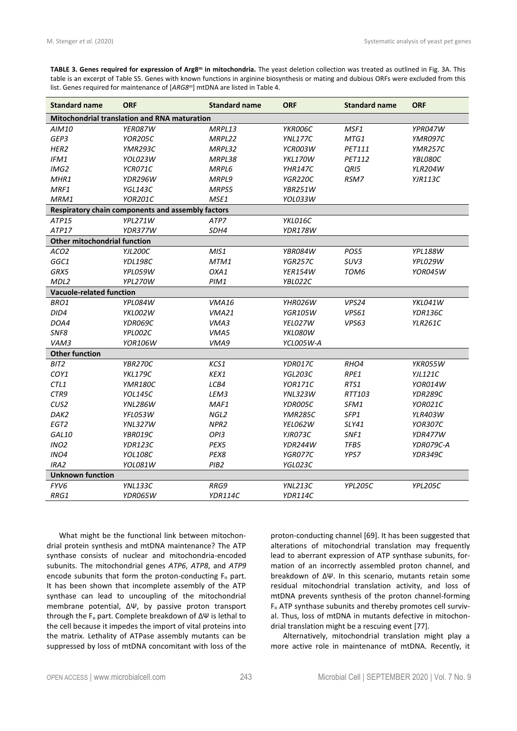| TABLE 3. Genes required for expression of Arg8 <sup>m</sup> in mitochondria. The yeast deletion collection was treated as outlined in Fig. 3A. This |
|-----------------------------------------------------------------------------------------------------------------------------------------------------|
| table is an excerpt of Table S5. Genes with known functions in arginine biosynthesis or mating and dubious ORFs were excluded from this             |
| list. Genes required for maintenance of [ARG8 <sup>m</sup> ] mtDNA are listed in Table 4.                                                           |

| <b>Standard name</b>                | <b>ORF</b>                                        | <b>Standard name</b> | <b>ORF</b>     | <b>Standard name</b> | <b>ORF</b>     |  |
|-------------------------------------|---------------------------------------------------|----------------------|----------------|----------------------|----------------|--|
|                                     | Mitochondrial translation and RNA maturation      |                      |                |                      |                |  |
| AIM10                               | YER087W                                           | MRPL13               | YKR006C        | MSF1                 | YPR047W        |  |
| GEP3                                | <b>YOR205C</b>                                    | MRPL22               | <b>YNL177C</b> | MTG1                 | YMR097C        |  |
| HER2                                | <b>YMR293C</b>                                    | MRPL32               | YCR003W        | <b>PET111</b>        | <b>YMR257C</b> |  |
| IFM1                                | YOL023W                                           | MRPL38               | YKL170W        | PET112               | YBL080C        |  |
| IMG2                                | YCR071C                                           | MRPL6                | <b>YHR147C</b> | QRI5                 | <b>YLR204W</b> |  |
| MHR1                                | YDR296W                                           | MRPL9                | <b>YGR220C</b> | RSM7                 | <b>YJR113C</b> |  |
| MRF1                                | <b>YGL143C</b>                                    | MRPS5                | YBR251W        |                      |                |  |
| MRM1                                | <b>YOR201C</b>                                    | MSE1                 | YOL033W        |                      |                |  |
|                                     | Respiratory chain components and assembly factors |                      |                |                      |                |  |
| ATP15                               | YPL271W                                           | ATP7                 | YKL016C        |                      |                |  |
| ATP17                               | YDR377W                                           | SDH4                 | <b>YDR178W</b> |                      |                |  |
| <b>Other mitochondrial function</b> |                                                   |                      |                |                      |                |  |
| ACO <sub>2</sub>                    | <b>YJL200C</b>                                    | MIS1                 | YBR084W        | POS5                 | <b>YPL188W</b> |  |
| GGC1                                | <b>YDL198C</b>                                    | MTM1                 | <b>YGR257C</b> | SUV3                 | YPL029W        |  |
| GRX5                                | YPL059W                                           | OXA1                 | <b>YER154W</b> | TOM6                 | YOR045W        |  |
| MDL2                                | YPL270W                                           | PIM1                 | YBL022C        |                      |                |  |
| <b>Vacuole-related function</b>     |                                                   |                      |                |                      |                |  |
| BRO1                                | <b>YPL084W</b>                                    | <b>VMA16</b>         | YHR026W        | VPS24                | YKL041W        |  |
| DID4                                | YKL002W                                           | VMA21                | <b>YGR105W</b> | <b>VPS61</b>         | YDR136C        |  |
| DOA4                                | YDR069C                                           | VMA3                 | YEL027W        | VPS63                | <b>YLR261C</b> |  |
| SNF8                                | YPL002C                                           | VMA5                 | YKL080W        |                      |                |  |
| VAM3                                | <b>YOR106W</b>                                    | VMA9                 | YCL005W-A      |                      |                |  |
| <b>Other function</b>               |                                                   |                      |                |                      |                |  |
| BIT2                                | YBR270C                                           | KCS1                 | YDR017C        | RHO4                 | YKR055W        |  |
| COY1                                | <b>YKL179C</b>                                    | KEX1                 | <b>YGL203C</b> | RPE1                 | <b>YJL121C</b> |  |
| CTL1                                | <b>YMR180C</b>                                    | LCB4                 | <b>YOR171C</b> | RTS1                 | YOR014W        |  |
| CTR9                                | <b>YOL145C</b>                                    | LEM3                 | <b>YNL323W</b> | RTT103               | <b>YDR289C</b> |  |
| CUS2                                | <b>YNL286W</b>                                    | MAF1                 | YDR005C        | SFM1                 | YOR021C        |  |
| DAK2                                | YFL053W                                           | NGL <sub>2</sub>     | <b>YMR285C</b> | SFP1                 | <b>YLR403W</b> |  |
| EGT2                                | <b>YNL327W</b>                                    | NPR <sub>2</sub>     | YEL062W        | SLY41                | <b>YOR307C</b> |  |
| GAL10                               | YBR019C                                           | OPI3                 | YJR073C        | SNF1                 | YDR477W        |  |
| INO <sub>2</sub>                    | YDR123C                                           | PEX5                 | YDR244W        | TFB5                 | YDR079C-A      |  |
| INO4                                | YOL108C                                           | PEX8                 | YGR077C        | YPS7                 | <b>YDR349C</b> |  |
| IRA <sub>2</sub>                    | YOL081W                                           | PIB <sub>2</sub>     | YGL023C        |                      |                |  |
| <b>Unknown function</b>             |                                                   |                      |                |                      |                |  |
| FYV6                                | <b>YNL133C</b>                                    | RRG9                 | YNL213C        | YPL205C              | <b>YPL205C</b> |  |
| RRG1                                | YDR065W                                           | YDR114C              | YDR114C        |                      |                |  |

What might be the functional link between mitochondrial protein synthesis and mtDNA maintenance? The ATP synthase consists of nuclear and mitochondria-encoded subunits. The mitochondrial genes *ATP6*, *ATP8*, and *ATP9* encode subunits that form the proton-conducting  $F_0$  part. It has been shown that incomplete assembly of the ATP synthase can lead to uncoupling of the mitochondrial membrane potential, ∆Ψ, by passive proton transport through the F<sub>o</sub> part. Complete breakdown of ΔΨ is lethal to the cell because it impedes the import of vital proteins into the matrix. Lethality of ATPase assembly mutants can be suppressed by loss of mtDNA concomitant with loss of the proton-conducting channel [69]. It has been suggested that alterations of mitochondrial translation may frequently lead to aberrant expression of ATP synthase subunits, formation of an incorrectly assembled proton channel, and breakdown of ∆Ψ. In this scenario, mutants retain some residual mitochondrial translation activity, and loss of mtDNA prevents synthesis of the proton channel-forming F<sup>o</sup> ATP synthase subunits and thereby promotes cell survival. Thus, loss of mtDNA in mutants defective in mitochondrial translation might be a rescuing event [77].

Alternatively, mitochondrial translation might play a more active role in maintenance of mtDNA. Recently, it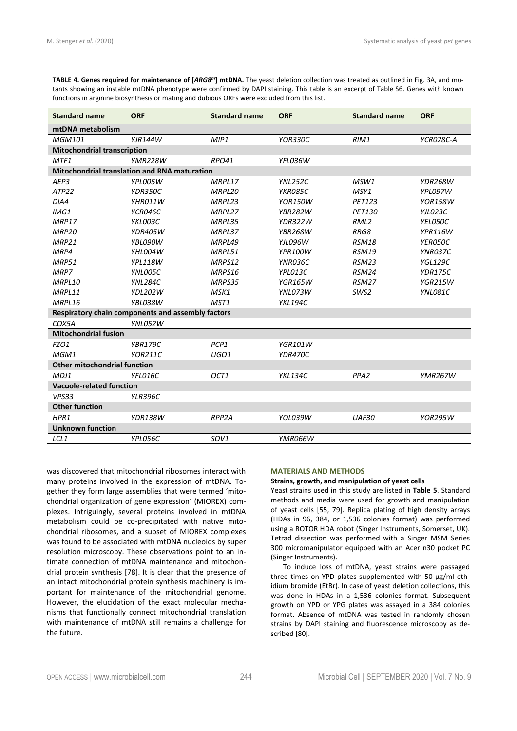**TABLE 4. Genes required for maintenance of [***ARG8<sup>m</sup>***] mtDNA.** The yeast deletion collection was treated as outlined in Fig. 3A, and mutants showing an instable mtDNA phenotype were confirmed by DAPI staining. This table is an excerpt of Table S6. Genes with known functions in arginine biosynthesis or mating and dubious ORFs were excluded from this list.

| <b>Standard name</b>                                | <b>ORF</b>                                        | <b>Standard name</b> | <b>ORF</b>     | <b>Standard name</b> | <b>ORF</b>     |  |
|-----------------------------------------------------|---------------------------------------------------|----------------------|----------------|----------------------|----------------|--|
| mtDNA metabolism                                    |                                                   |                      |                |                      |                |  |
| <b>MGM101</b>                                       | <b>YJR144W</b>                                    | MIP1                 | <b>YOR330C</b> | RIM1                 | YCR028C-A      |  |
| <b>Mitochondrial transcription</b>                  |                                                   |                      |                |                      |                |  |
| MTF1                                                | <b>YMR228W</b>                                    | <b>RPO41</b>         | YFL036W        |                      |                |  |
| <b>Mitochondrial translation and RNA maturation</b> |                                                   |                      |                |                      |                |  |
| AEP3                                                | YPL005W                                           | MRPL17               | <b>YNL252C</b> | MSW1                 | YDR268W        |  |
| ATP22                                               | YDR350C                                           | MRPL20               | YKR085C        | MSY1                 | YPL097W        |  |
| DIA4                                                | YHR011W                                           | MRPL23               | <b>YOR150W</b> | <b>PET123</b>        | <b>YOR158W</b> |  |
| IMG1                                                | YCR046C                                           | MRPL27               | <b>YBR282W</b> | <b>PET130</b>        | YJL023C        |  |
| MRP17                                               | YKL003C                                           | MRPL35               | <b>YDR322W</b> | RML <sub>2</sub>     | YEL050C        |  |
| MRP <sub>20</sub>                                   | <b>YDR405W</b>                                    | MRPL37               | <b>YBR268W</b> | RRG8                 | YPR116W        |  |
| MRP21                                               | YBL090W                                           | MRPL49               | YJL096W        | <b>RSM18</b>         | YER050C        |  |
| MRP4                                                | YHL004W                                           | MRPL51               | YPR100W        | <b>RSM19</b>         | YNR037C        |  |
| <b>MRP51</b>                                        | <b>YPL118W</b>                                    | MRPS12               | YNR036C        | RSM23                | <b>YGL129C</b> |  |
| MRP7                                                | YNL005C                                           | MRPS16               | YPL013C        | <b>RSM24</b>         | <b>YDR175C</b> |  |
| MRPL10                                              | <b>YNL284C</b>                                    | MRPS35               | <b>YGR165W</b> | <b>RSM27</b>         | <b>YGR215W</b> |  |
| MRPL11                                              | <b>YDL202W</b>                                    | MSK1                 | YNL073W        | SWS <sub>2</sub>     | YNL081C        |  |
| MRPL16                                              | YBL038W                                           | MST <sub>1</sub>     | <b>YKL194C</b> |                      |                |  |
|                                                     | Respiratory chain components and assembly factors |                      |                |                      |                |  |
| COX5A                                               | YNL052W                                           |                      |                |                      |                |  |
| <b>Mitochondrial fusion</b>                         |                                                   |                      |                |                      |                |  |
| FZO1                                                | <b>YBR179C</b>                                    | PCP1                 | <b>YGR101W</b> |                      |                |  |
| MGM1                                                | <b>YOR211C</b>                                    | UGO1                 | YDR470C        |                      |                |  |
| <b>Other mitochondrial function</b>                 |                                                   |                      |                |                      |                |  |
| MDJ1                                                | YFL016C                                           | OCT1                 | <b>YKL134C</b> | PPA <sub>2</sub>     | <b>YMR267W</b> |  |
| <b>Vacuole-related function</b>                     |                                                   |                      |                |                      |                |  |
| VPS33                                               | <b>YLR396C</b>                                    |                      |                |                      |                |  |
| <b>Other function</b>                               |                                                   |                      |                |                      |                |  |
| HPR1                                                | <b>YDR138W</b>                                    | RPP <sub>2A</sub>    | YOL039W        | UAF30                | <b>YOR295W</b> |  |
| <b>Unknown function</b>                             |                                                   |                      |                |                      |                |  |
| LCL1                                                | YPL056C                                           | SOV <sub>1</sub>     | YMR066W        |                      |                |  |

was discovered that mitochondrial ribosomes interact with many proteins involved in the expression of mtDNA. Together they form large assemblies that were termed 'mitochondrial organization of gene expression' (MIOREX) complexes. Intriguingly, several proteins involved in mtDNA metabolism could be co-precipitated with native mitochondrial ribosomes, and a subset of MIOREX complexes was found to be associated with mtDNA nucleoids by super resolution microscopy. These observations point to an intimate connection of mtDNA maintenance and mitochondrial protein synthesis [78]. It is clear that the presence of an intact mitochondrial protein synthesis machinery is important for maintenance of the mitochondrial genome. However, the elucidation of the exact molecular mechanisms that functionally connect mitochondrial translation with maintenance of mtDNA still remains a challenge for the future.

#### **MATERIALS AND METHODS**

#### **Strains, growth, and manipulation of yeast cells**

Yeast strains used in this study are listed in **Table 5**. Standard methods and media were used for growth and manipulation of yeast cells [55, 79]. Replica plating of high density arrays (HDAs in 96, 384, or 1,536 colonies format) was performed using a ROTOR HDA robot (Singer Instruments, Somerset, UK). Tetrad dissection was performed with a Singer MSM Series 300 micromanipulator equipped with an Acer n30 pocket PC (Singer Instruments).

To induce loss of mtDNA, yeast strains were passaged three times on YPD plates supplemented with 50 µg/ml ethidium bromide (EtBr). In case of yeast deletion collections, this was done in HDAs in a 1,536 colonies format. Subsequent growth on YPD or YPG plates was assayed in a 384 colonies format. Absence of mtDNA was tested in randomly chosen strains by DAPI staining and fluorescence microscopy as described [80].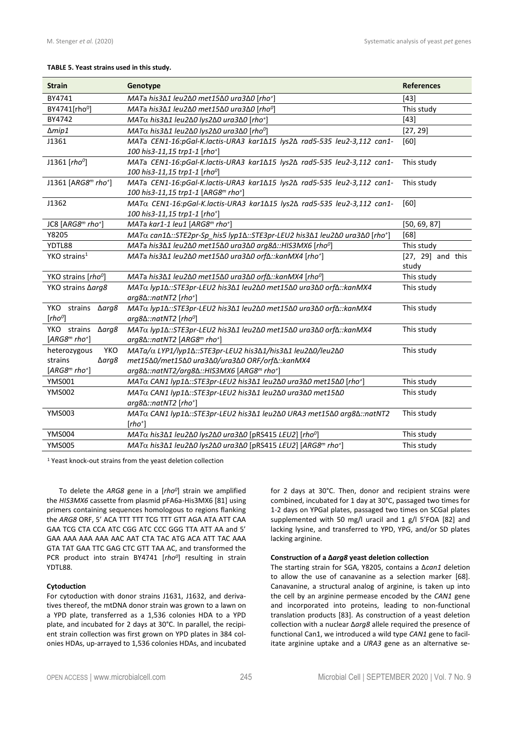#### **TABLE 5. Yeast strains used in this study.**

| <b>Strain</b>                                                              | Genotype                                                                                                                                           | <b>References</b>   |
|----------------------------------------------------------------------------|----------------------------------------------------------------------------------------------------------------------------------------------------|---------------------|
| BY4741                                                                     | MATa his3∆1 leu2∆0 met15∆0 ura3∆0 [rho <sup>+</sup> ]                                                                                              | $[43]$              |
| BY4741[rho <sup>0</sup> ]                                                  | This study<br>MATa his3∆1 leu2∆0 met15∆0 ura3∆0 [rho <sup>0</sup> ]                                                                                |                     |
| BY4742                                                                     | MATα his3Δ1 leu2Δ0 lys2Δ0 ura3Δ0 [rho <sup>+</sup> ]                                                                                               |                     |
| $\Delta m$ ip1                                                             | MATα his3Δ1 leu2Δ0 lys2Δ0 ura3Δ0 [rho <sup>o</sup> ]                                                                                               | [27, 29]            |
| J1361                                                                      | MATa CEN1-16:pGal-K.lactis-URA3 kar1∆15 lys2∆ rad5-535 leu2-3,112 can1-                                                                            | [60]                |
|                                                                            | 100 his 3-11,15 trp1-1 [rho <sup>+</sup> ]                                                                                                         |                     |
| J1361 [ $rho^0$ ]                                                          | MATa CEN1-16:pGal-K.lactis-URA3 kar1∆15 lys2∆ rad5-535 leu2-3,112 can1-                                                                            | This study          |
|                                                                            | 100 his3-11,15 trp1-1 [rho <sup>0</sup> ]                                                                                                          |                     |
| J1361 [ARG8 <sup>m</sup> rho <sup>+</sup> ]                                | MATa CEN1-16:pGal-K.lactis-URA3 kar1∆15 lys2∆ rad5-535 leu2-3,112 can1-                                                                            | This study          |
|                                                                            | 100 his 3-11,15 trp1-1 [ARG8 <sup>m</sup> rho <sup>+</sup> ]                                                                                       |                     |
| J1362                                                                      | MATα CEN1-16:pGal-K.lactis-URA3 kar1Δ15 lys2Δ rad5-535 leu2-3,112 can1-                                                                            | [60]                |
|                                                                            | 100 his 3-11,15 trp1-1 [rho <sup>+</sup> ]                                                                                                         |                     |
| JC8 [ARG8 <sup>m</sup> rho <sup>+</sup> ]                                  | MATa kar1-1 leu1 [ARG8 $m$ rho <sup>+</sup> ]                                                                                                      | [50, 69, 87]        |
| Y8205                                                                      | MATα can1Δ::STE2pr-Sp his5 lyp1Δ::STE3pr-LEU2 his3Δ1 leu2Δ0 ura3Δ0 [rho <sup>+</sup> ]                                                             | [68]                |
| YDTL88                                                                     | MATa his3Δ1 leu2Δ0 met15Δ0 ura3Δ0 arg8Δ::HIS3MX6 [rho <sup>0</sup> ]                                                                               | This study          |
| $YKO$ strains <sup>1</sup>                                                 | MATa his3∆1 leu2∆0 met15∆0 ura3∆0 orf∆::kanMX4 [rho <sup>+</sup> ]                                                                                 | $[27, 29]$ and this |
|                                                                            |                                                                                                                                                    | study               |
| YKO strains [rho <sup>0</sup> ]                                            | MATa his3∆1 leu2∆0 met15∆0 ura3∆0 orf∆::kanMX4 [rhoº]                                                                                              | This study          |
| YKO strains ∆arg8                                                          | MATα lyp1Δ::STE3pr-LEU2 his3Δ1 leu2Δ0 met15Δ0 ura3Δ0 orfΔ::kanMX4                                                                                  | This study          |
|                                                                            | arg8∆::natNT2 [rho <sup>+</sup> ]                                                                                                                  |                     |
| YKO strains Δarg8                                                          | MATα lyp1Δ::STE3pr-LEU2 his3Δ1 leu2Δ0 met15Δ0 ura3Δ0 orfΔ::kanMX4                                                                                  | This study          |
| $[rho^0]$                                                                  | $arg8\Delta$ ::natNT2 [rho <sup>o</sup> ]                                                                                                          |                     |
| YKO strains<br>$\triangle$ arg $\&$                                        | MATα lyp1Δ::STE3pr-LEU2 his3Δ1 leu2Δ0 met15Δ0 ura3Δ0 orfΔ::kanMX4                                                                                  | This study          |
| $[ARG8mrho+]$                                                              | arg8∆::natNT2 [ARG8 <sup>m</sup> rho <sup>+</sup> ]                                                                                                |                     |
| heterozygous<br>YKO                                                        | MATa/α LYP1/lyp1Δ::STE3pr-LEU2 his3Δ1/his3Δ1 leu2Δ0/leu2Δ0                                                                                         | This study          |
| strains<br>∆arg8                                                           | met15Δ0/met15Δ0 ura3Δ0/ura3Δ0 ORF/orfΔ::kanMX4                                                                                                     |                     |
| $[ARG8mrho+]$                                                              | arg8∆::natNT2/arg8∆::HIS3MX6 [ARG8 <sup>m</sup> rho <sup>+</sup> ]                                                                                 |                     |
| <b>YMS001</b>                                                              | MATα CAN1 lyp1Δ::STE3pr-LEU2 his3Δ1 leu2Δ0 ura3Δ0 met15Δ0 [rho <sup>+</sup> ]                                                                      | This study          |
| MATα CAN1 lyp1Δ::STE3pr-LEU2 his3Δ1 leu2Δ0 ura3Δ0 met15Δ0<br><b>YMS002</b> |                                                                                                                                                    | This study          |
|                                                                            | arg8∆::natNT2 [rho <sup>+</sup> ]                                                                                                                  |                     |
| <b>YMS003</b>                                                              | MATα CAN1 lyp1Δ::STE3pr-LEU2 his3Δ1 leu2Δ0 URA3 met15Δ0 arg8Δ::natNT2                                                                              |                     |
|                                                                            | $[rho^+]$                                                                                                                                          |                     |
| <b>YMS004</b>                                                              | MATα his3Δ1 leu2Δ0 lys2Δ0 ura3Δ0 [pRS415 LEU2] [rhoº]                                                                                              | This study          |
| <b>YMS005</b>                                                              | This study<br>MAT $\alpha$ his 3 $\Delta$ 1 leu 2 $\Delta$ 0 lys 2 $\Delta$ 0 ura 3 $\Delta$ 0 [pRS415 LEU2] [ARG8 <sup>m</sup> rho <sup>+</sup> ] |                     |

<sup>1</sup> Yeast knock-out strains from the yeast deletion collection

To delete the *ARG8* gene in a [*rho<sup>0</sup>* ] strain we amplified the *HIS3MX6* cassette from plasmid pFA6a-His3MX6 [81] using primers containing sequences homologous to regions flanking the *ARG8* ORF, 5' ACA TTT TTT TCG TTT GTT AGA ATA ATT CAA GAA TCG CTA CCA ATC CGG ATC CCC GGG TTA ATT AA and 5' GAA AAA AAA AAA AAC AAT CTA TAC ATG ACA ATT TAC AAA GTA TAT GAA TTC GAG CTC GTT TAA AC, and transformed the PCR product into strain BY4741 [*rho<sup>0</sup>* ] resulting in strain YDTL88.

## **Cytoduction**

For cytoduction with donor strains J1631, J1632, and derivatives thereof, the mtDNA donor strain was grown to a lawn on a YPD plate, transferred as a 1,536 colonies HDA to a YPD plate, and incubated for 2 days at 30°C. In parallel, the recipient strain collection was first grown on YPD plates in 384 colonies HDAs, up-arrayed to 1,536 colonies HDAs, and incubated

for 2 days at 30°C. Then, donor and recipient strains were combined, incubated for 1 day at 30°C, passaged two times for 1-2 days on YPGal plates, passaged two times on SCGal plates supplemented with 50 mg/l uracil and 1 g/l 5'FOA [82] and lacking lysine, and transferred to YPD, YPG, and/or SD plates lacking arginine.

## **Construction of a Δ***arg8* **yeast deletion collection**

The starting strain for SGA, Y8205, contains a Δ*can1* deletion to allow the use of canavanine as a selection marker [68]. Canavanine, a structural analog of arginine, is taken up into the cell by an arginine permease encoded by the *CAN1* gene and incorporated into proteins, leading to non-functional translation products [83]. As construction of a yeast deletion collection with a nuclear Δ*arg8* allele required the presence of functional Can1, we introduced a wild type *CAN1* gene to facilitate arginine uptake and a *URA3* gene as an alternative se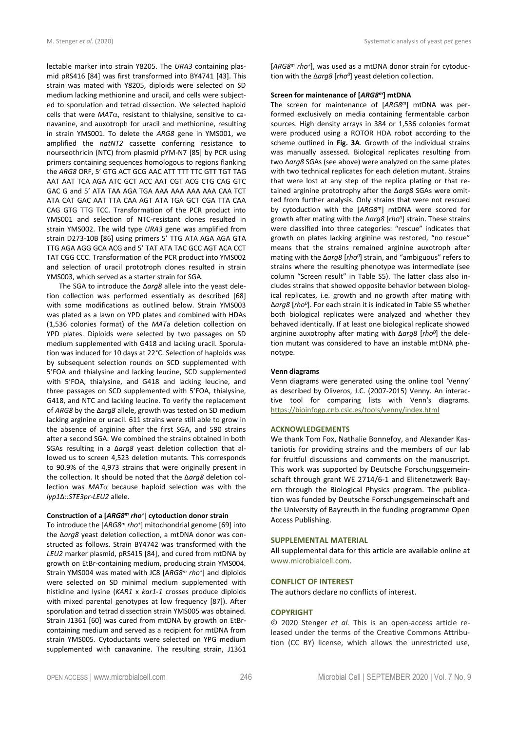lectable marker into strain Y8205. The *URA3* containing plasmid pRS416 [84] was first transformed into BY4741 [43]. This strain was mated with Y8205, diploids were selected on SD medium lacking methionine and uracil, and cells were subjected to sporulation and tetrad dissection. We selected haploid cells that were  $MAT\alpha$ , resistant to thialysine, sensitive to canavanine, and auxotroph for uracil and methionine, resulting in strain YMS001. To delete the *ARG8* gene in YMS001, we amplified the *natNT2* cassette conferring resistance to nourseothricin (NTC) from plasmid pYM-N7 [85] by PCR using primers containing sequences homologous to regions flanking the *ARG8* ORF, 5' GTG ACT GCG AAC ATT TTT TTC GTT TGT TAG AAT AAT TCA AGA ATC GCT ACC AAT CGT ACG CTG CAG GTC GAC G and 5' ATA TAA AGA TGA AAA AAA AAA AAA CAA TCT ATA CAT GAC AAT TTA CAA AGT ATA TGA GCT CGA TTA CAA CAG GTG TTG TCC. Transformation of the PCR product into YMS001 and selection of NTC-resistant clones resulted in strain YMS002. The wild type *URA3* gene was amplified from strain D273-10B [86] using primers 5' TTG ATA AGA AGA GTA TTG AGA AGG GCA ACG and 5' TAT ATA TAC GCC AGT ACA CCT TAT CGG CCC. Transformation of the PCR product into YMS002 and selection of uracil prototroph clones resulted in strain YMS003, which served as a starter strain for SGA.

The SGA to introduce the Δ*arg8* allele into the yeast deletion collection was performed essentially as described [68] with some modifications as outlined below. Strain YMS003 was plated as a lawn on YPD plates and combined with HDAs (1,536 colonies format) of the *MAT*a deletion collection on YPD plates. Diploids were selected by two passages on SD medium supplemented with G418 and lacking uracil. Sporulation was induced for 10 days at 22°C. Selection of haploids was by subsequent selection rounds on SCD supplemented with 5'FOA and thialysine and lacking leucine, SCD supplemented with 5'FOA, thialysine, and G418 and lacking leucine, and three passages on SCD supplemented with 5'FOA, thialysine, G418, and NTC and lacking leucine. To verify the replacement of *ARG8* by the Δa*rg8* allele, growth was tested on SD medium lacking arginine or uracil. 611 strains were still able to grow in the absence of arginine after the first SGA, and 590 strains after a second SGA. We combined the strains obtained in both SGAs resulting in a Δ*arg8* yeast deletion collection that allowed us to screen 4,523 deletion mutants. This corresponds to 90.9% of the 4,973 strains that were originally present in the collection. It should be noted that the Δ*arg8* deletion collection was  $MAT\alpha$  because haploid selection was with the *lyp1*Δ*::STE3pr-LEU2* allele.

## **Construction of a [***ARG8<sup>m</sup> rho<sup>+</sup>* ] **cytoduction donor strain**

To introduce the [*ARG8<sup>m</sup> rho<sup>+</sup>* ] mitochondrial genome [69] into the Δ*arg8* yeast deletion collection, a mtDNA donor was constructed as follows. Strain BY4742 was transformed with the *LEU2* marker plasmid, pRS415 [84], and cured from mtDNA by growth on EtBr-containing medium, producing strain YMS004. Strain YMS004 was mated with JC8 [A*RG8<sup>m</sup> rho<sup>+</sup>* ] and diploids were selected on SD minimal medium supplemented with histidine and lysine (*KAR1* x *kar1-1* crosses produce diploids with mixed parental genotypes at low frequency [87]). After sporulation and tetrad dissection strain YMS005 was obtained. Strain J1361 [60] was cured from mtDNA by growth on EtBrcontaining medium and served as a recipient for mtDNA from strain YMS005. Cytoductants were selected on YPG medium supplemented with canavanine. The resulting strain, J1361 [*ARG8<sup>m</sup> rho<sup>+</sup>* ], was used as a mtDNA donor strain for cytoduction with the Δ*arg8* [*rho<sup>0</sup>* ] yeast deletion collection.

## **Screen for maintenance of [***ARG8<sup>m</sup>***] mtDNA**

The screen for maintenance of [*ARG8<sup>m</sup>*] mtDNA was performed exclusively on media containing fermentable carbon sources. High density arrays in 384 or 1,536 colonies format were produced using a ROTOR HDA robot according to the scheme outlined in **Fig. 3A**. Growth of the individual strains was manually assessed. Biological replicates resulting from two Δ*arg8* SGAs (see above) were analyzed on the same plates with two technical replicates for each deletion mutant. Strains that were lost at any step of the replica plating or that retained arginine prototrophy after the Δ*arg8* SGAs were omitted from further analysis. Only strains that were not rescued by cytoduction with the [*ARG8<sup>m</sup>*] mtDNA were scored for growth after mating with the Δ*arg8* [*rho<sup>0</sup>* ] strain. These strains were classified into three categories: "rescue" indicates that growth on plates lacking arginine was restored, "no rescue" means that the strains remained arginine auxotroph after mating with the Δ*arg8* [*rho<sup>0</sup>* ] strain, and "ambiguous" refers to strains where the resulting phenotype was intermediate (see column "Screen result" in Table S5). The latter class also includes strains that showed opposite behavior between biological replicates, i.e. growth and no growth after mating with Δ*arg8* [*rho<sup>0</sup>* ]. For each strain it is indicated in Table S5 whether both biological replicates were analyzed and whether they behaved identically. If at least one biological replicate showed arginine auxotrophy after mating with Δ*arg8* [*rho<sup>0</sup>* ] the deletion mutant was considered to have an instable mtDNA phenotype.

#### **Venn diagrams**

Venn diagrams were generated using the online tool 'Venny' as described by Oliveros, J.C. (2007-2015) Venny. An interactive tool for comparing lists with Venn's diagrams. <https://bioinfogp.cnb.csic.es/tools/venny/index.html>

## **ACKNOWLEDGEMENTS**

We thank Tom Fox, Nathalie Bonnefoy, and Alexander Kastaniotis for providing strains and the members of our lab for fruitful discussions and comments on the manuscript. This work was supported by Deutsche Forschungsgemeinschaft through grant WE 2714/6-1 and Elitenetzwerk Bayern through the Biological Physics program. The publication was funded by Deutsche Forschungsgemeinschaft and the University of Bayreuth in the funding programme Open Access Publishing.

#### **SUPPLEMENTAL MATERIAL**

All supplemental data for this article are available online at [www.microbialcell.com.](http://www.microbialcell.com/)

#### **CONFLICT OF INTEREST**

The authors declare no conflicts of interest.

# **COPYRIGHT**

© 2020 Stenger *et al.* This is an open-access article released under the terms of the Creative Commons Attribution (CC BY) license, which allows the unrestricted use,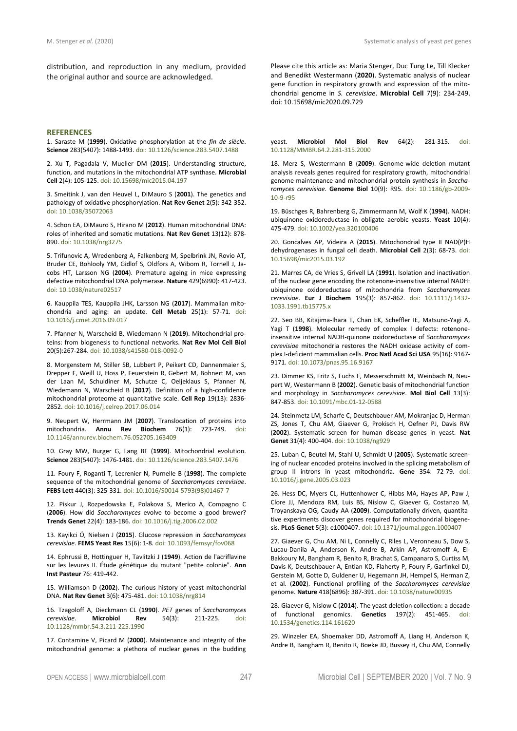distribution, and reproduction in any medium, provided the original author and source are acknowledged.

### **REFERENCES**

1. Saraste M (**1999**). Oxidative phosphorylation at the *fin de siècle*. **Science** 283(5407): 1488-1493. doi: 10.1126/science.283.5407.1488

2. Xu T, Pagadala V, Mueller DM (**2015**). Understanding structure, function, and mutations in the mitochondrial ATP synthase. **Microbial Cell** 2(4): 105-125. doi: 10.15698/mic2015.04.197

3. Smeitink J, van den Heuvel L, DiMauro S (**2001**). The genetics and pathology of oxidative phosphorylation. **Nat Rev Genet** 2(5): 342-352. doi: 10.1038/35072063

4. Schon EA, DiMauro S, Hirano M (**2012**). Human mitochondrial DNA: roles of inherited and somatic mutations. **Nat Rev Genet** 13(12): 878- 890. doi: 10.1038/nrg3275

5. Trifunovic A, Wredenberg A, Falkenberg M, Spelbrink JN, Rovio AT, Bruder CE, Bohlooly YM, Gidlof S, Oldfors A, Wibom R, Tornell J, Jacobs HT, Larsson NG (**2004**). Premature ageing in mice expressing defective mitochondrial DNA polymerase. **Nature** 429(6990): 417-423. doi: 10.1038/nature02517

6. Kauppila TES, Kauppila JHK, Larsson NG (**2017**). Mammalian mitochondria and aging: an update. **Cell Metab** 25(1): 57-71. doi: 10.1016/j.cmet.2016.09.017

7. Pfanner N, Warscheid B, Wiedemann N (**2019**). Mitochondrial proteins: from biogenesis to functional networks. **Nat Rev Mol Cell Biol** 20(5):267-284. doi: 10.1038/s41580-018-0092-0

8. Morgenstern M, Stiller SB, Lubbert P, Peikert CD, Dannenmaier S, Drepper F, Weill U, Hoss P, Feuerstein R, Gebert M, Bohnert M, van der Laan M, Schuldiner M, Schutze C, Oeljeklaus S, Pfanner N, Wiedemann N, Warscheid B (**2017**). Definition of a high-confidence mitochondrial proteome at quantitative scale. **Cell Rep** 19(13): 2836- 2852. doi: 10.1016/j.celrep.2017.06.014

9. Neupert W, Herrmann JM (**2007**). Translocation of proteins into mitochondria. **Annu Rev Biochem** 76(1): 723-749. doi: 10.1146/annurev.biochem.76.052705.163409

10. Gray MW, Burger G, Lang BF (**1999**). Mitochondrial evolution. **Science** 283(5407): 1476-1481. doi: 10.1126/science.283.5407.1476

11. Foury F, Roganti T, Lecrenier N, Purnelle B (**1998**). The complete sequence of the mitochondrial genome of *Saccharomyces cerevisiae*. **FEBS Lett** 440(3): 325-331. doi: 10.1016/S0014-5793(98)01467-7

12. Piskur J, Rozpedowska E, Polakova S, Merico A, Compagno C (**2006**). How did *Saccharomyces* evolve to become a good brewer? **Trends Genet** 22(4): 183-186. doi: 10.1016/j.tig.2006.02.002

13. Kayikci Ö, Nielsen J (**2015**). Glucose repression in *Saccharomyces cerevisiae*. **FEMS Yeast Res** 15(6): 1-8. doi: 10.1093/femsyr/fov068

14. Ephrussi B, Hottinguer H, Tavlitzki J (**1949**). Action de l'acriflavine sur les levures II. Étude génétique du mutant "petite colonie". **Ann Inst Pasteur** 76: 419-442.

15. Williamson D (**2002**). The curious history of yeast mitochondrial DNA. **Nat Rev Genet** 3(6): 475-481. doi: 10.1038/nrg814

16. Tzagoloff A, Dieckmann CL (**1990**). *PET* genes of *Saccharomyces cerevisiae*. **Microbiol Rev** 54(3): 211-225. doi: 10.1128/mmbr.54.3.211-225.1990

17. Contamine V, Picard M (**2000**). Maintenance and integrity of the mitochondrial genome: a plethora of nuclear genes in the budding Please cite this article as: Maria Stenger, Duc Tung Le, Till Klecker and Benedikt Westermann (**2020**). Systematic analysis of nuclear gene function in respiratory growth and expression of the mitochondrial genome in *S. cerevisiae*. **Microbial Cell** 7(9): 234-249. doi: 10.15698/mic2020.09.729

yeast. **Microbiol Mol Biol Rev** 64(2): 281-315. doi: 10.1128/MMBR.64.2.281-315.2000

18. Merz S, Westermann B (**2009**). Genome-wide deletion mutant analysis reveals genes required for respiratory growth, mitochondrial genome maintenance and mitochondrial protein synthesis in *Saccharomyces cerevisiae*. **Genome Biol** 10(9): R95. doi: 10.1186/gb-2009- 10-9-r95

19. Büschges R, Bahrenberg G, Zimmermann M, Wolf K (**1994**). NADH: ubiquinone oxidoreductase in obligate aerobic yeasts. **Yeast** 10(4): 475-479. doi: 10.1002/yea.320100406

20. Goncalves AP, Videira A (**2015**). Mitochondrial type II NAD(P)H dehydrogenases in fungal cell death. **Microbial Cell** 2(3): 68-73. doi: 10.15698/mic2015.03.192

21. Marres CA, de Vries S, Grivell LA (**1991**). Isolation and inactivation of the nuclear gene encoding the rotenone-insensitive internal NADH: ubiquinone oxidoreductase of mitochondria from *Saccharomyces cerevisiae*. **Eur J Biochem** 195(3): 857-862. doi: 10.1111/j.1432- 1033.1991.tb15775.x

22. Seo BB, Kitajima-Ihara T, Chan EK, Scheffler IE, Matsuno-Yagi A, Yagi T (**1998**). Molecular remedy of complex I defects: rotenoneinsensitive internal NADH-quinone oxidoreductase of *Saccharomyces cerevisiae* mitochondria restores the NADH oxidase activity of complex I-deficient mammalian cells. **Proc Natl Acad Sci USA** 95(16): 9167- 9171. doi: 10.1073/pnas.95.16.9167

23. Dimmer KS, Fritz S, Fuchs F, Messerschmitt M, Weinbach N, Neupert W, Westermann B (**2002**). Genetic basis of mitochondrial function and morphology in *Saccharomyces cerevisiae*. **Mol Biol Cell** 13(3): 847-853. doi: 10.1091/mbc.01-12-0588

24. Steinmetz LM, Scharfe C, Deutschbauer AM, Mokranjac D, Herman ZS, Jones T, Chu AM, Giaever G, Prokisch H, Oefner PJ, Davis RW (**2002**). Systematic screen for human disease genes in yeast. **Nat Genet** 31(4): 400-404. doi: 10.1038/ng929

25. Luban C, Beutel M, Stahl U, Schmidt U (**2005**). Systematic screening of nuclear encoded proteins involved in the splicing metabolism of group II introns in yeast mitochondria. **Gene** 354: 72-79. doi: 10.1016/j.gene.2005.03.023

26. Hess DC, Myers CL, Huttenhower C, Hibbs MA, Hayes AP, Paw J, Clore JJ, Mendoza RM, Luis BS, Nislow C, Giaever G, Costanzo M, Troyanskaya OG, Caudy AA (**2009**). Computationally driven, quantitative experiments discover genes required for mitochondrial biogenesis. **PLoS Genet** 5(3): e1000407. doi: 10.1371/journal.pgen.1000407

27. Giaever G, Chu AM, Ni L, Connelly C, Riles L, Veronneau S, Dow S, Lucau-Danila A, Anderson K, Andre B, Arkin AP, Astromoff A, El-Bakkoury M, Bangham R, Benito R, Brachat S, Campanaro S, Curtiss M, Davis K, Deutschbauer A, Entian KD, Flaherty P, Foury F, Garfinkel DJ, Gerstein M, Gotte D, Guldener U, Hegemann JH, Hempel S, Herman Z, et al. (**2002**). Functional profiling of the *Saccharomyces cerevisiae* genome. **Nature** 418(6896): 387-391. doi: 10.1038/nature00935

28. Giaever G, Nislow C (2014). The yeast deletion collection: a decade of functional genomics. **Genetics** 197(2): 451-465. doi: **Genetics** 197(2): 451-465. 10.1534/genetics.114.161620

29. Winzeler EA, Shoemaker DD, Astromoff A, Liang H, Anderson K, Andre B, Bangham R, Benito R, Boeke JD, Bussey H, Chu AM, Connelly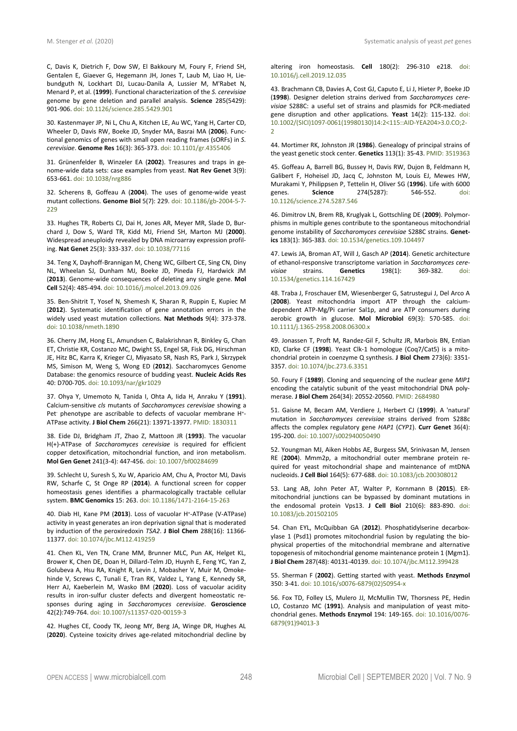C, Davis K, Dietrich F, Dow SW, El Bakkoury M, Foury F, Friend SH, Gentalen E, Giaever G, Hegemann JH, Jones T, Laub M, Liao H, Liebundguth N, Lockhart DJ, Lucau-Danila A, Lussier M, M'Rabet N, Menard P, et al. (**1999**). Functional characterization of the *S. cerevisiae* genome by gene deletion and parallel analysis. **Science** 285(5429): 901-906. doi: 10.1126/science.285.5429.901

30. Kastenmayer JP, Ni L, Chu A, Kitchen LE, Au WC, Yang H, Carter CD, Wheeler D, Davis RW, Boeke JD, Snyder MA, Basrai MA (**2006**). Functional genomics of genes with small open reading frames (sORFs) in *S. cerevisiae*. **Genome Res** 16(3): 365-373. doi: 10.1101/gr.4355406

31. Grünenfelder B, Winzeler EA (**2002**). Treasures and traps in genome-wide data sets: case examples from yeast. **Nat Rev Genet** 3(9): 653-661. doi: 10.1038/nrg886

32. Scherens B, Goffeau A (**2004**). The uses of genome-wide yeast mutant collections. **Genome Biol** 5(7): 229. doi: 10.1186/gb-2004-5-7- 229

33. Hughes TR, Roberts CJ, Dai H, Jones AR, Meyer MR, Slade D, Burchard J, Dow S, Ward TR, Kidd MJ, Friend SH, Marton MJ (**2000**). Widespread aneuploidy revealed by DNA microarray expression profiling. **Nat Genet** 25(3): 333-337. doi: 10.1038/77116

34. Teng X, Dayhoff-Brannigan M, Cheng WC, Gilbert CE, Sing CN, Diny NL, Wheelan SJ, Dunham MJ, Boeke JD, Pineda FJ, Hardwick JM (**2013**). Genome-wide consequences of deleting any single gene. **Mol Cell** 52(4): 485-494. doi: 10.1016/j.molcel.2013.09.026

35. Ben-Shitrit T, Yosef N, Shemesh K, Sharan R, Ruppin E, Kupiec M (**2012**). Systematic identification of gene annotation errors in the widely used yeast mutation collections. **Nat Methods** 9(4): 373-378. doi: 10.1038/nmeth.1890

36. Cherry JM, Hong EL, Amundsen C, Balakrishnan R, Binkley G, Chan ET, Christie KR, Costanzo MC, Dwight SS, Engel SR, Fisk DG, Hirschman JE, Hitz BC, Karra K, Krieger CJ, Miyasato SR, Nash RS, Park J, Skrzypek MS, Simison M, Weng S, Wong ED (**2012**). Saccharomyces Genome Database: the genomics resource of budding yeast. **Nucleic Acids Res** 40: D700-705. doi: 10.1093/nar/gkr1029

37. Ohya Y, Umemoto N, Tanida I, Ohta A, Iida H, Anraku Y (**1991**). Calcium-sensitive *cls* mutants of *Saccharomyces cerevisiae* showing a Pet phenotype are ascribable to defects of vacuolar membrane H<sup>+</sup>-ATPase activity. **J Biol Chem** 266(21): 13971-13977. PMID: 1830311

38. Eide DJ, Bridgham JT, Zhao Z, Mattoon JR (**1993**). The vacuolar H(+)-ATPase of *Saccharomyces cerevisiae* is required for efficient copper detoxification, mitochondrial function, and iron metabolism. **Mol Gen Genet** 241(3-4): 447-456. doi: 10.1007/bf00284699

39. Schlecht U, Suresh S, Xu W, Aparicio AM, Chu A, Proctor MJ, Davis RW, Scharfe C, St Onge RP (**2014**). A functional screen for copper homeostasis genes identifies a pharmacologically tractable cellular system. **BMC Genomics** 15: 263. doi: 10.1186/1471-2164-15-263

40. Diab HI, Kane PM (**2013**). Loss of vacuolar H<sup>+</sup> -ATPase (V-ATPase) activity in yeast generates an iron deprivation signal that is moderated by induction of the peroxiredoxin *TSA2*. **J Biol Chem** 288(16): 11366- 11377. doi: 10.1074/jbc.M112.419259

41. Chen KL, Ven TN, Crane MM, Brunner MLC, Pun AK, Helget KL, Brower K, Chen DE, Doan H, Dillard-Telm JD, Huynh E, Feng YC, Yan Z, Golubeva A, Hsu RA, Knight R, Levin J, Mobasher V, Muir M, Omokehinde V, Screws C, Tunali E, Tran RK, Valdez L, Yang E, Kennedy SR, Herr AJ, Kaeberlein M, Wasko BM (**2020**). Loss of vacuolar acidity results in iron-sulfur cluster defects and divergent homeostatic responses during aging in *Saccharomyces cerevisiae*. **Geroscience** 42(2):749-764. doi: 10.1007/s11357-020-00159-3

42. Hughes CE, Coody TK, Jeong MY, Berg JA, Winge DR, Hughes AL (**2020**). Cysteine toxicity drives age-related mitochondrial decline by altering iron homeostasis. **Cell** 180(2): 296-310 e218. doi: 10.1016/j.cell.2019.12.035

43. Brachmann CB, Davies A, Cost GJ, Caputo E, Li J, Hieter P, Boeke JD (**1998**). Designer deletion strains derived from *Saccharomyces cerevisiae* S288C: a useful set of strains and plasmids for PCR-mediated gene disruption and other applications. **Yeast** 14(2): 115-132. doi: 10.1002/(SICI)1097-0061(19980130)14:2<115::AID-YEA204>3.0.CO;2- 2

44. Mortimer RK, Johnston JR (**1986**). Genealogy of principal strains of the yeast genetic stock center. **Genetics** 113(1): 35-43. PMID: 3519363

45. Goffeau A, Barrell BG, Bussey H, Davis RW, Dujon B, Feldmann H, Galibert F, Hoheisel JD, Jacq C, Johnston M, Louis EJ, Mewes HW, Murakami Y, Philippsen P, Tettelin H, Oliver SG (**1996**). Life with 6000 274(5287): 10.1126/science.274.5287.546

46. Dimitrov LN, Brem RB, Kruglyak L, Gottschling DE (**2009**). Polymorphisms in multiple genes contribute to the spontaneous mitochondrial genome instability of *Saccharomyces cerevisiae* S288C strains. **Genetics** 183(1): 365-383. doi: 10.1534/genetics.109.104497

47. Lewis JA, Broman AT, Will J, Gasch AP (**2014**). Genetic architecture of ethanol-responsive transcriptome variation in *Saccharomyces cerevisiae* strains. Genetics 10.1534/genetics.114.167429

48. Traba J, Froschauer EM, Wiesenberger G, Satrustegui J, Del Arco A (**2008**). Yeast mitochondria import ATP through the calciumdependent ATP-Mg/Pi carrier Sal1p, and are ATP consumers during aerobic growth in glucose. **Mol Microbiol** 69(3): 570-585. doi: 10.1111/j.1365-2958.2008.06300.x

49. Jonassen T, Proft M, Randez-Gil F, Schultz JR, Marbois BN, Entian KD, Clarke CF (**1998**). Yeast Clk-1 homologue (Coq7/Cat5) is a mitochondrial protein in coenzyme Q synthesis. **J Biol Chem** 273(6): 3351- 3357. doi: 10.1074/jbc.273.6.3351

50. Foury F (**1989**). Cloning and sequencing of the nuclear gene *MIP1*  encoding the catalytic subunit of the yeast mitochondrial DNA polymerase. **J Biol Chem** 264(34): 20552-20560. PMID: 2684980

51. Gaisne M, Becam AM, Verdiere J, Herbert CJ (**1999**). A 'natural' mutation in *Saccharomyces cerevisiae* strains derived from S288c affects the complex regulatory gene *HAP1* (*CYP1*). **Curr Genet** 36(4): 195-200. doi: 10.1007/s002940050490

52. Youngman MJ, Aiken Hobbs AE, Burgess SM, Srinivasan M, Jensen RE (**2004**). Mmm2p, a mitochondrial outer membrane protein required for yeast mitochondrial shape and maintenance of mtDNA nucleoids. **J Cell Biol** 164(5): 677-688. doi: 10.1083/jcb.200308012

53. Lang AB, John Peter AT, Walter P, Kornmann B (**2015**). ERmitochondrial junctions can be bypassed by dominant mutations in the endosomal protein Vps13. **J Cell Biol** 210(6): 883-890. doi: 10.1083/jcb.201502105

54. Chan EYL, McQuibban GA (**2012**). Phosphatidylserine decarboxylase 1 (Psd1) promotes mitochondrial fusion by regulating the biophysical properties of the mitochondrial membrane and alternative topogenesis of mitochondrial genome maintenance protein 1 (Mgm1). **J Biol Chem** 287(48): 40131-40139. doi: 10.1074/jbc.M112.399428

55. Sherman F (**2002**). Getting started with yeast. **Methods Enzymol** 350: 3-41. doi: 10.1016/s0076-6879(02)50954-x

56. Fox TD, Folley LS, Mulero JJ, McMullin TW, Thorsness PE, Hedin LO, Costanzo MC (**1991**). Analysis and manipulation of yeast mitochondrial genes. **Methods Enzymol** 194: 149-165. doi: 10.1016/0076- 6879(91)94013-3